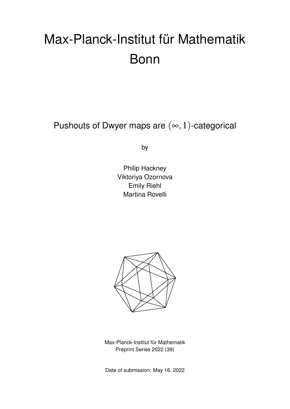# Max-Planck-Institut für Mathematik Bonn

Pushouts of Dwyer maps are  $(\infty,1)$ -categorical

by

Philip Hackney Viktoriya Ozornova Emily Riehl Martina Rovelli



Max-Planck-Institut für Mathematik Preprint Series 2022 (39)

Date of submission: May 16, 2022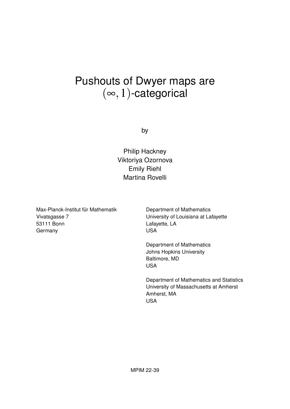## Pushouts of Dwyer maps are  $(\infty, 1)$ -categorical

by

Philip Hackney Viktoriya Ozornova Emily Riehl Martina Rovelli

Max-Planck-Institut für Mathematik Vivatsgasse 7 53111 Bonn Germany

Department of Mathematics University of Louisiana at Lafayette Lafayette, LA USA

Department of Mathematics Johns Hopkins University Baltimore, MD USA

Department of Mathematics and Statistics University of Massachusetts at Amherst Amherst, MA USA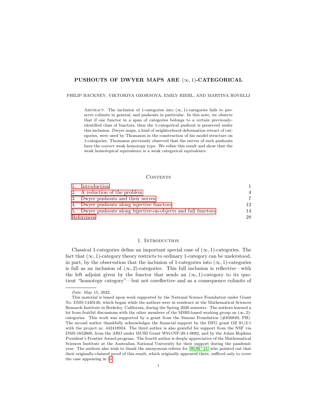#### PUSHOUTS OF DWYER MAPS ARE  $(\infty, 1)$ -CATEGORICAL

#### PHILIP HACKNEY, VIKTORIYA OZORNOVA, EMILY RIEHL, AND MARTINA ROVELLI

ABSTRACT. The inclusion of 1-categories into  $(\infty, 1)$ -categories fails to preserve colimits in general, and pushouts in particular. In this note, we observe that if one functor in a span of categories belongs to a certain previouslyidentified class of functors, then the 1-categorical pushout is preserved under this inclusion. Dwyer maps, a kind of neighborhood deformation retract of categories, were used by Thomason in the construction of his model structure on 1-categories. Thomason previously observed that the nerves of such pushouts have the correct weak homotopy type. We refine this result and show that the weak homotopical equivalence is a weak categorical equivalence.

#### <span id="page-2-1"></span>CONTENTS

|            | 1. Introduction                                                |    |
|------------|----------------------------------------------------------------|----|
|            | 2. A reduction of the problem                                  | 4  |
|            | 3. Dwyer pushouts and their nerves                             |    |
|            | 4. Dwyer pushouts along injective functors                     | 12 |
|            | 5. Dwyer pushouts along bijective-on-objects and full functors | 14 |
| References |                                                                | 28 |

#### 1. INTRODUCTION

<span id="page-2-0"></span>Classical 1-categories define an important special case of  $(\infty, 1)$ -categories. The fact that  $(\infty, 1)$ -category theory restricts to ordinary 1-category can be understood, in part, by the observation that the inclusion of 1-categories into  $(\infty, 1)$ -categories is full as an inclusion of  $(\infty, 2)$ -categories. This full inclusion is reflective—with the left adjoint given by the functor that sends an  $(\infty, 1)$ -category to its quotient "homotopy category"—but not coreflective and as a consequence colimits of

Date: May 15, 2022.

This material is based upon work supported by the National Science Foundation under Grant No. DMS-1440140, which began while the authors were in residence at the Mathematical Sciences Research Institute in Berkeley, California, during the Spring 2020 semester. The authors learned a lot from fruitful discussions with the other members of the MSRI-based working group on  $(\infty, 2)$ categories. This work was supported by a grant from the Simons Foundation (#850849, PH). The second author thankfully acknowledges the financial support by the DFG grant OZ 91/2-1 with the project nr. 442418934. The third author is also grateful for support from the NSF via DMS-1652600, from the ARO under MURI Grant W911NF-20-1-0082, and by the Johns Hopkins President's Frontier Award program. The fourth author is deeply appreciative of the Mathematical Sciences Institute at the Australian National University for their support during the pandemic year. The authors also wish to thank the anonymous referee for  $[HOR+21]$  $[HOR+21]$  who pointed out that their originally-claimed proof of this result, which originally appeared there, sufficed only to cover the case appearing in §[4.](#page-13-0)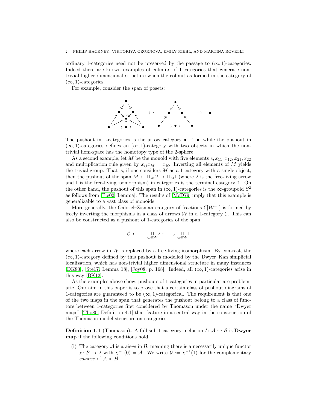ordinary 1-categories need not be preserved by the passage to  $(\infty, 1)$ -categories. Indeed there are known examples of colimits of 1-categories that generate nontrivial higher-dimensional structure when the colimit as formed in the category of  $(\infty, 1)$ -categories.

For example, consider the span of posets:



The pushout in 1-categories is the arrow category  $\bullet \to \bullet$ , while the pushout in  $(\infty, 1)$ -categories defines an  $(\infty, 1)$ -category with two objects in which the nontrivial hom-space has the homotopy type of the 2-sphere.

As a second example, let M be the monoid with five elements  $e, x_{11}, x_{12}, x_{21}, x_{22}$ and multiplication rule given by  $x_{ij}x_{k\ell} = x_{i\ell}$ . Inverting all elements of M yields the trivial group. That is, if one considers  $M$  as a 1-category with a single object, then the pushout of the span  $M \leftarrow \amalg_M 2 \rightarrow \amalg_M \mathbb{I}$  (where 2 is the free-living arrow and  $\mathbb{I}$  is the free-living isomorphism) in categories is the terminal category  $\mathbb{1}$ . On the other hand, the pushout of this span in  $(\infty, 1)$ -categories is the  $\infty$ -groupoid  $S^2$ as follows from [\[Fie02,](#page-30-1) Lemma]. The results of [\[McD79\]](#page-30-2) imply that this example is generalizable to a vast class of monoids.

More generally, the Gabriel–Zisman category of fractions  $\mathcal{C}[\mathcal{W}^{-1}]$  is formed by freely inverting the morphisms in a class of arrows  $\mathcal W$  in a 1-category  $\mathcal C$ . This can also be constructed as a pushout of 1-categories of the span

$$
\mathcal{C} \longleftarrow \underset{w\in \mathcal{W}}{\amalg} \mathcal{2} \longleftarrow \underset{w\in \mathcal{W}}{\amalg} \mathbb{I}
$$

where each arrow in  $W$  is replaced by a free-living isomorphism. By contrast, the  $(\infty, 1)$ -category defined by this pushout is modelled by the Dwyer–Kan simplicial localization, which has non-trivial higher dimensional structure in many instances [\[DK80\]](#page-30-3), [\[Ste17,](#page-30-4) Lemma 18], [\[Joy08,](#page-30-5) p. 168]. Indeed, all  $(\infty, 1)$ -categories arise in this way [\[BK12\]](#page-29-0).

As the examples above show, pushouts of 1-categories in particular are problematic. Our aim in this paper is to prove that a certain class of pushout diagrams of 1-categories are guaranteed to be  $(\infty, 1)$ -categorical. The requirement is that one of the two maps in the span that generates the pushout belong to a class of functors between 1-categories first considered by Thomason under the name "Dwyer maps" [\[Tho80,](#page-30-6) Definition 4.1] that feature in a central way in the construction of the Thomason model structure on categories.

<span id="page-3-0"></span>**Definition 1.1** (Thomason). A full sub-1-category inclusion  $I: A \hookrightarrow B$  is **Dwyer** map if the following conditions hold.

(i) The category  $A$  is a *sieve* in  $B$ , meaning there is a necessarily unique functor  $\chi: \mathcal{B} \to 2$  with  $\chi^{-1}(0) = \mathcal{A}$ . We write  $\mathcal{V} := \chi^{-1}(1)$  for the complementary cosieve of A in B.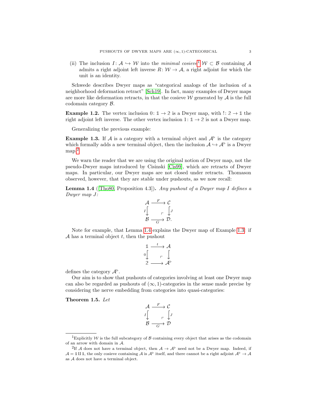(ii) The inclusion  $I: \mathcal{A} \hookrightarrow \mathcal{W}$  into the minimal cosieve<sup>[1](#page-4-0)</sup>  $\mathcal{W} \subset \mathcal{B}$  containing A admits a right adjoint left inverse  $R: W \to \mathcal{A}$ , a right adjoint for which the unit is an identity.

Schwede describes Dwyer maps as "categorical analogs of the inclusion of a neighborhood deformation retract" [\[Sch19\]](#page-30-7). In fact, many examples of Dwyer maps are more like deformation retracts, in that the cosieve  $\mathcal W$  generated by  $\mathcal A$  is the full codomain category B.

**Example 1.2.** The vertex inclusion  $0: 1 \rightarrow 2$  is a Dwyer map, with  $\cdot: 2 \rightarrow 1$  the right adjoint left inverse. The other vertex inclusion 1:  $\mathbb{1} \rightarrow 2$  is not a Dwyer map.

Generalizing the previous example:

<span id="page-4-3"></span>**Example 1.3.** If A is a category with a terminal object and  $A^{\triangleright}$  is the category which formally adds a new terminal object, then the inclusion  $\mathcal{A} \hookrightarrow \mathcal{A}^{\triangleright}$  is a Dwyer map.<sup>[2](#page-4-1)</sup>

We warn the reader that we are using the original notion of Dwyer map, not the pseudo-Dwyer maps introduced by Cisinski [\[Cis99\]](#page-30-8), which are retracts of Dwyer maps. In particular, our Dwyer maps are not closed under retracts. Thomason observed, however, that they are stable under pushouts, as we now recall:

<span id="page-4-2"></span>**Lemma 1.4** ([\[Tho80,](#page-30-6) Proposition 4.3]). Any pushout of a Dwyer map I defines a Dwyer map J:

$$
\begin{array}{ccc}\n\mathcal{A} & \xrightarrow{F} & \mathcal{C} \\
I \downarrow & & \downarrow \\
\mathcal{B} & \xrightarrow{\hspace{2em} \sqsubset} & \mathcal{D}.\n\end{array}
$$

Note for example, that Lemma [1.4](#page-4-2) explains the Dwyer map of Example [1.3:](#page-4-3) if  $A$  has a terminal object  $t$ , then the pushout

$$
\begin{array}{ccc}\n\mathbb{1} & \xrightarrow{t} & \mathcal{A} \\
\downarrow & & \uparrow \\
2 & \longrightarrow \mathcal{A}^{\triangleright}\n\end{array}
$$

defines the category  $\mathcal{A}^{\triangleright}$ .

Our aim is to show that pushouts of categories involving at least one Dwyer map can also be regarded as pushouts of  $(\infty, 1)$ -categories in the sense made precise by considering the nerve embedding from categories into quasi-categories:

<span id="page-4-4"></span>Theorem 1.5. Let

$$
\mathcal{A} \xrightarrow{F} \mathcal{C}
$$
\n
$$
I \downarrow \qquad \qquad \downarrow \mathcal{D}
$$
\n
$$
\mathcal{B} \xrightarrow{G} \mathcal{D}
$$

<span id="page-4-0"></span><sup>&</sup>lt;sup>1</sup>Explicitly  $W$  is the full subcategory of  $B$  containing every object that arises as the codomain of an arrow with domain in A.

<span id="page-4-1"></span><sup>&</sup>lt;sup>2</sup>If A does not have a terminal object, then  $A \to A^{\triangleright}$  need not be a Dwyer map. Indeed, if  $\mathcal{A} = \mathbb{1} \amalg \mathbb{1}$ , the only cosieve containing A is  $\mathcal{A}^{\triangleright}$  itself, and there cannot be a right adjoint  $\mathcal{A}^{\triangleright} \to \mathcal{A}$ as A does not have a terminal object.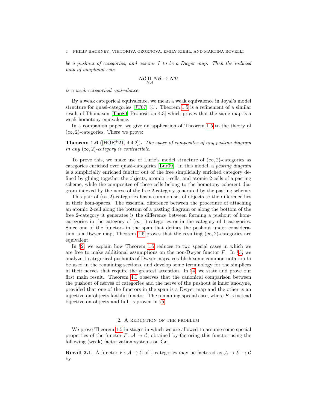be a pushout of categories, and assume I to be a Dwyer map. Then the induced map of simplicial sets

$$
N{\mathcal C}\underset{NA}{\amalg}N{\mathcal B}\to N{\mathcal D}
$$

is a weak categorical equivalence.

By a weak categorical equivalence, we mean a weak equivalence in Joyal's model structure for quasi-categories [\[JT07,](#page-30-9) §1]. Theorem [1.5](#page-4-4) is a refinement of a similar result of Thomason [\[Tho80,](#page-30-6) Proposition 4.3] which proves that the same map is a weak homotopy equivalence.

In a companion paper, we give an application of Theorem [1.5](#page-4-4) to the theory of  $(\infty, 2)$ -categories. There we prove:

**Theorem 1.6** ( $[HOR<sup>+</sup>21, 4.4.2]$  $[HOR<sup>+</sup>21, 4.4.2]$ ). The space of composites of any pasting diagram in any  $(\infty, 2)$ -category is contractible.

To prove this, we make use of Lurie's model structure of  $(\infty, 2)$ -categories as categories enriched over quasi-categories [\[Lur09\]](#page-30-10). In this model, a pasting diagram is a simplicially enriched functor out of the free simplicially enriched category defined by gluing together the objects, atomic 1-cells, and atomic 2-cells of a pasting scheme, while the composites of these cells belong to the homotopy coherent diagram indexed by the nerve of the free 2-category generated by the pasting scheme.

This pair of  $(\infty, 2)$ -categories has a common set of objects so the difference lies in their hom-spaces. The essential difference between the procedure of attaching an atomic 2-cell along the bottom of a pasting diagram or along the bottom of the free 2-category it generates is the difference between forming a pushout of homcategories in the category of  $(\infty, 1)$ -categories or in the category of 1-categories. Since one of the functors in the span that defines the pushout under considera-tion is a Dwyer map, Theorem [1.5](#page-4-4) proves that the resulting  $(\infty, 2)$ -categories are equivalent.

In §[2,](#page-5-0) we explain how Theorem [1.5](#page-4-4) reduces to two special cases in which we are free to make additional assumptions on the non-Dwyer functor  $F$ . In §[3,](#page-8-0) we analyze 1-categorical pushouts of Dwyer maps, establish some common notation to be used in the remaining sections, and develop some terminology for the simplices in their nerves that require the greatest attention. In §[4,](#page-13-0) we state and prove our first main result. Theorem [4.1](#page-13-1) observes that the canonical comparison between the pushout of nerves of categories and the nerve of the pushout is inner anodyne, provided that one of the functors in the span is a Dwyer map and the other is an injective-on-objects faithful functor. The remaining special case, where  $F$  is instead bijective-on-objects and full, is proven in §[5.](#page-15-0)

#### 2. A reduction of the problem

<span id="page-5-0"></span>We prove Theorem [1.5](#page-4-4) in stages in which we are allowed to assume some special properties of the functor  $F: \mathcal{A} \to \mathcal{C}$ , obtained by factoring this functor using the following (weak) factorization systems on Cat.

**Recall 2.1.** A functor  $F: A \to C$  of 1-categories may be factored as  $A \to \mathcal{E} \to C$ by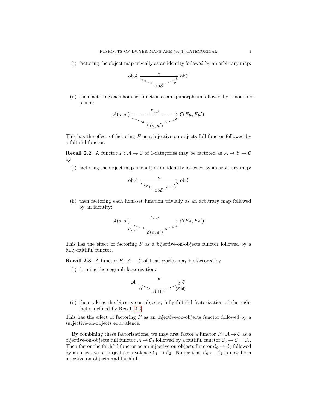(i) factoring the object map trivially as an identity followed by an arbitrary map:

$$
\text{obA} \xrightarrow[z_{z_{z_{z_{z_{z}}}}} \text{obC} \xrightarrow{F} \text{obC}
$$

(ii) then factoring each hom-set function as an epimorphism followed by a monomorphism:

$$
\mathcal{A}(a,a') \xrightarrow{\mathcal{F}_{a,a'}} \mathcal{C}(Fa, Fa')
$$

This has the effect of factoring  $F$  as a bijective-on-objects full functor followed by a faithful functor.

<span id="page-6-0"></span>**Recall 2.2.** A functor  $F: A \to C$  of 1-categories may be factored as  $A \to \mathcal{E} \to C$ by

(i) factoring the object map trivially as an identity followed by an arbitrary map:

$$
\text{obA} \xrightarrow{F} \text{obC}
$$

$$
\xrightarrow{F} \text{obC}
$$

(ii) then factoring each hom-set function trivially as an arbitrary map followed by an identity:

$$
\mathcal{A}(a,a') \xrightarrow[F_{a,a'}]{} \mathcal{E}_{(a,a')} \xrightarrow[\mathcal{E}(a,a')]{} \mathcal{E}(Fa, Fa')
$$

This has the effect of factoring  $F$  as a bijective-on-objects functor followed by a fully-faithful functor.

**Recall 2.3.** A functor  $F: A \to C$  of 1-categories may be factored by

(i) forming the cograph factorization:

$$
\mathcal{A} \xrightarrow[i_1] \searrow \mathcal{A} \xrightarrow[i_1] \searrow \mathcal{A} \xrightarrow[\mathcal{A}]{F} \mathcal{C}
$$

(ii) then taking the bijective-on-objects, fully-faithful factorization of the right factor defined by Recall [2.2.](#page-6-0)

This has the effect of factoring  $F$  as an injective-on-objects functor followed by a surjective-on-objects equivalence.

By combining these factorizations, we may first factor a functor  $F\colon \mathcal{A} \to \mathcal{C}$  as a bijective-on-objects full functor  $A \to C_0$  followed by a faithful functor  $C_0 \to C = C_2$ . Then factor the faithful functor as an injective-on-objects functor  $C_0 \rightarrow C_1$  followed by a surjective-on-objects equivalence  $C_1 \rightarrow C_2$ . Notice that  $C_0 \rightarrow C_1$  is now both injective-on-objects and faithful.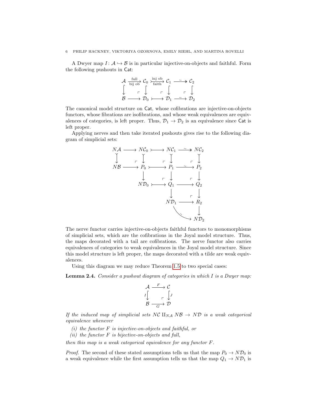#### 6 PHILIP HACKNEY, VIKTORIYA OZORNOVA, EMILY RIEHL, AND MARTINA ROVELLI

A Dwyer map  $I: \mathcal{A} \hookrightarrow \mathcal{B}$  is in particular injective-on-objects and faithful. Form the following pushouts in Cat:

$$
\begin{array}{ccc}\n\mathcal{A} & \frac{\mathrm{full}}{\mathrm{bij} \; \mathrm{ob}} & \mathcal{C}_0 & \xrightarrow{\mathrm{inj} \; \mathrm{ob}} & \mathcal{C}_1 & \xrightarrow{\sim} & \mathcal{C}_2 \\
\downarrow & & \uparrow & & \uparrow & & \uparrow & \\
\mathcal{B} & \xrightarrow{\hspace{2.3cm}} & \mathcal{D}_0 & \xrightarrow{\hspace{2.3cm}} & \mathcal{D}_1 & \xrightarrow{\sim} & \mathcal{D}_2\n\end{array}
$$

The canonical model structure on Cat, whose cofibrations are injective-on-objects functors, whose fibrations are isofibrations, and whose weak equivalences are equivalences of categories, is left proper. Thus,  $\mathcal{D}_1 \rightarrow \mathcal{D}_2$  is an equivalence since Cat is left proper.

Applying nerves and then take iterated pushouts gives rise to the following diagram of simplicial sets:



The nerve functor carries injective-on-objects faithful functors to monomorphisms of simplicial sets, which are the cofibrations in the Joyal model structure. Thus, the maps decorated with a tail are cofibrations. The nerve functor also carries equivalences of categories to weak equivalences in the Joyal model structure. Since this model structure is left proper, the maps decorated with a tilde are weak equivalences.

Using this diagram we may reduce Theorem [1.5](#page-4-4) to two special cases:

<span id="page-7-2"></span>**Lemma 2.4.** Consider a pushout diagram of categories in which  $I$  is a Dwyer map:

$$
\begin{array}{ccc}\n\mathcal{A} & \xrightarrow{F} & \mathcal{C} \\
I \downarrow & & \downarrow \\
\mathcal{B} & \xrightarrow{G} & \mathcal{D}\n\end{array}
$$

If the induced map of simplicial sets NC  $\mathbb{H}_{NA} N\mathcal{B} \rightarrow N\mathcal{D}$  is a weak categorical equivalence whenever

- <span id="page-7-0"></span>(i) the functor  $F$  is injective-on-objects and faithful, or
- <span id="page-7-1"></span>(ii) the functor  $F$  is bijective-on-objects and full,

then this map is a weak categorical equivalence for any functor F.

*Proof.* The second of these stated assumptions tells us that the map  $P_0 \to N\mathcal{D}_0$  is a weak equivalence while the first assumption tells us that the map  $Q_1 \rightarrow N\mathcal{D}_1$  is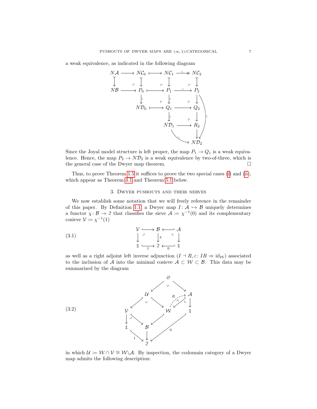a weak equivalence, as indicated in the following diagram



Since the Joyal model structure is left proper, the map  $P_1 \rightarrow Q_1$  is a weak equivalence. Hence, the map  $P_2 \to N\mathcal{D}_2$  is a weak equivalence by two-of-three, which is the general case of the Dwyer map theorem.  $\hfill \Box$ 

Thus, to prove Theorem [1.5](#page-4-4) it suffices to prove the two special cases [\(i\)](#page-7-0) and [\(ii\)](#page-7-1), which appear as Theorem [4.1](#page-13-1) and Theorem [5.1](#page-16-0) below.

#### <span id="page-8-2"></span>3. Dwyer pushouts and their nerves

<span id="page-8-0"></span>We now establish some notation that we will freely reference in the remainder of this paper. By Definition [1.1,](#page-3-0) a Dwyer map  $I: \mathcal{A} \hookrightarrow \mathcal{B}$  uniquely determines a functor  $\chi: \mathcal{B} \to 2$  that classifies the sieve  $\mathcal{A} := \chi^{-1}(0)$  and its complementary cosieve  $\mathcal{V} := \chi^{-1}(1)$ 

(3.1) 
$$
\begin{array}{ccc}\n\mathcal{V} & \longrightarrow & \mathcal{B} & \longleftarrow & \mathcal{A} \\
\downarrow & & \downarrow & & \downarrow \\
\mathbb{1} & \longrightarrow & \mathbb{2} & \longleftarrow & \mathbb{1} \\
\end{array}
$$

as well as a right adjoint left inverse adjunction  $(I \dashv R, \varepsilon: IR \Rightarrow id_{\mathcal{W}})$  associated to the inclusion of A into the minimal cosieve  $A \subset W \subset B$ . This data may be summarized by the diagram

<span id="page-8-1"></span>

<span id="page-8-3"></span>in which  $\mathcal{U} := \mathcal{W} \cap \mathcal{V} \cong \mathcal{W} \backslash \mathcal{A}$ . By inspection, the codomain category of a Dwyer map admits the following description: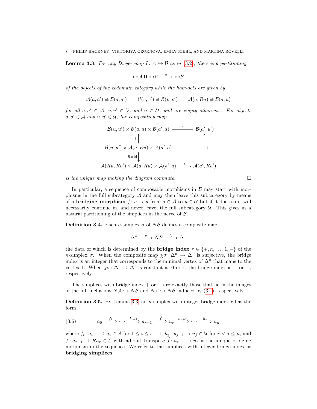**Lemma 3.3.** For any Dwyer map  $I: \mathcal{A} \rightarrow \mathcal{B}$  as in [\(3.2\)](#page-8-1), there is a partitioning

 $obA \amalg obV \stackrel{\cong}{\longrightarrow} ob\mathcal{B}$ 

of the objects of the codomain category while the hom-sets are given by

 $\mathcal{A}(a, a') \cong \mathcal{B}(a, a') \qquad \mathcal{V}(v, v') \cong \mathcal{B}(v, v') \qquad \mathcal{A}(a, Ru) \cong \mathcal{B}(a, u)$ 

for all  $a, a' \in \mathcal{A}, v, v' \in \mathcal{V},$  and  $u \in \mathcal{U},$  and are empty otherwise. For objects  $a, a' \in \mathcal{A}$  and  $u, u' \in \mathcal{U}$ , the composition map

$$
\mathcal{B}(u, u') \times \mathcal{B}(a, u) \times \mathcal{B}(a', a) \xrightarrow{\circ} \mathcal{B}(a', u')
$$
\n
$$
\downarrow \qquad \qquad \downarrow \qquad \qquad \downarrow \qquad \qquad \downarrow
$$
\n
$$
\mathcal{B}(u, u') \times \mathcal{A}(a, Ru) \times \mathcal{A}(a', a) \xrightarrow{\circ} \qquad \qquad \downarrow \qquad \qquad \downarrow
$$
\n
$$
\mathcal{A}(Ru, Ru') \times \mathcal{A}(a, Ru) \times \mathcal{A}(a', a) \xrightarrow{\circ} \mathcal{A}(a', Ru')
$$

is the unique map making the diagram commute.  $\Box$ 

In particular, a sequence of composable morphisms in  $\beta$  may start with morphisms in the full subcategory  $A$  and may then leave this subcategory by means of a **bridging morphism**  $f: a \to u$  from  $a \in A$  to  $u \in U$  but if it does so it will necessarily continue in, and never leave, the full subcategory  $U$ . This gives us a natural partitioning of the simplices in the nerve of  $\beta$ .

<span id="page-9-0"></span>**Definition 3.4.** Each *n*-simplex  $\sigma$  of NB defines a composite map

$$
\Delta^n \xrightarrow{\sigma} N\mathcal{B} \xrightarrow{\chi} \Delta^1
$$

the data of which is determined by the **bridge index**  $r \in \{+, n, \ldots, 1, -\}$  of the *n*-simplex  $\sigma$ . When the composite map  $\chi \sigma : \Delta^n \to \Delta^1$  is surjective, the bridge index is an integer that corresponds to the minimal vertex of  $\Delta^n$  that maps to the vertex 1. When  $\chi \sigma : \Delta^n \to \Delta^1$  is constant at 0 or 1, the bridge index is + or -, respectively.

The simplices with bridge index  $+$  or  $-$  are exactly those that lie in the images of the full inclusions  $N\mathcal{A} \hookrightarrow N\mathcal{B}$  and  $N\mathcal{V} \hookrightarrow N\mathcal{B}$  induced by [\(3.1\)](#page-8-2), respectively.

<span id="page-9-1"></span>**Definition 3.5.** By Lemma [3.3,](#page-8-3) an *n*-simplex with integer bridge index  $r$  has the form

$$
(3.6) \t a_0 \xrightarrow{f_1} \cdots \xrightarrow{f_{r-1}} a_{r-1} \xrightarrow{\hat{f}} u_r \xrightarrow{h_{r+1}} \cdots \xrightarrow{h_n} u_n
$$

<span id="page-9-2"></span>where  $f_i: a_{i-1} \to a_i \in \mathcal{A}$  for  $1 \leq i \leq r-1$ ,  $h_j: u_{j-1} \to u_j \in \mathcal{U}$  for  $r < j \leq n$ , and  $f: a_{r-1} \to Ru_r \in \mathcal{C}$  with adjoint transpose  $\hat{f}: a_{r-1} \to u_r$  is the unique bridging morphism in the sequence. We refer to the simplices with integer bridge index as bridging simplices.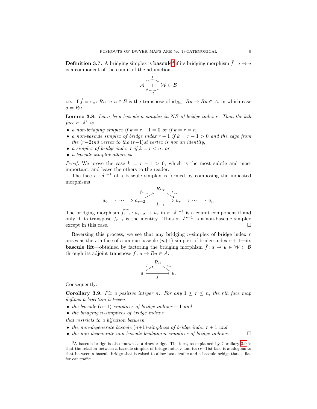**Definition [3](#page-10-0).7.** A bridging simplex is **bascule**<sup>3</sup> if its bridging morphism  $\hat{f}$ :  $a \to u$ is a component of the counit of the adjunction

$$
\mathcal{A} \xrightarrow[\mathcal{R}]{I} \mathcal{W} \subset \mathcal{B}
$$

i.e., if  $\hat{f} = \varepsilon_u : Ru \to u \in \mathcal{B}$  is the transpose of  $id_{Ru} : Ru \to Ru \in \mathcal{A}$ , in which case  $a = Ru$ .

<span id="page-10-2"></span>**Lemma 3.8.** Let  $\sigma$  be a bascule n-simplex in NB of bridge index r. Then the kth face  $\sigma \cdot \delta^k$  is

- a non-bridging simplex if  $k = r 1 = 0$  or if  $k = r = n$ ,
- a non-bascule simplex of bridge index  $r-1$  if  $k = r-1 > 0$  and the edge from the  $(r-2)$ nd vertex to the  $(r-1)$ st vertex is not an identity,
- a simplex of bridge index r if  $k = r < n$ , or
- a bascule simplex otherwise.

*Proof.* We prove the case  $k = r - 1 > 0$ , which is the most subtle and most important, and leave the others to the reader.

The face  $\sigma \cdot \delta^{r-1}$  of a bascule simplex is formed by composing the indicated morphisms

$$
a_0 \longrightarrow \cdots \longrightarrow a_{r-2} \xrightarrow{R u_r} \underbrace{\varepsilon_{u_r}}_{f_{r-1}} u_r \longrightarrow \cdots \longrightarrow u_n
$$

The bridging morphism  $\widehat{f}_{r-1}$ :  $a_{r-2} \to u_r$  in  $\sigma \cdot \delta^{r-1}$  is a counit component if and only if its transpose  $f_{r-1}$  is the identity. Thus  $\sigma \cdot \delta^{r-1}$  is a non-bascule simplex except in this case.

Reversing this process, we see that any bridging *n*-simplex of bridge index  $r$ arises as the rth face of a unique bascule  $(n+1)$ -simplex of bridge index  $r + 1$ —its **bascule lift**—obtained by factoring the bridging morphism  $\hat{f} : a \to u \in \mathcal{W} \subset \mathcal{B}$ through its adjoint transpose  $f: a \to Ru \in \mathcal{A}$ :

$$
a \xrightarrow{f \nearrow} \begin{array}{c} Ru & \xi_u \\ \searrow & \downarrow \\ \hat{f} & \end{array} u.
$$

Consequently:

<span id="page-10-1"></span>**Corollary 3.9.** Fix a positive integer n. For any  $1 \leq r \leq n$ , the rth face map defines a bijection between

- the bascule  $(n+1)$ -simplices of bridge index  $r + 1$  and
- $\bullet$  the bridging n-simplices of bridge index  $r$

that restricts to a bijection between

- the non-degenerate bascule  $(n+1)$ -simplices of bridge index  $r + 1$  and
- the non-degenerate non-bascule bridging n-simplices of bridge index  $r$ .

<span id="page-10-0"></span><sup>3</sup>A bascule bridge is also known as a drawbridge. The idea, as explained by Corollary [3.9](#page-10-1) is that the relation between a bascule simplex of bridge index r and its  $(r-1)$ st face is analogous to that between a bascule bridge that is raised to allow boat traffic and a bascule bridge that is flat for car traffic.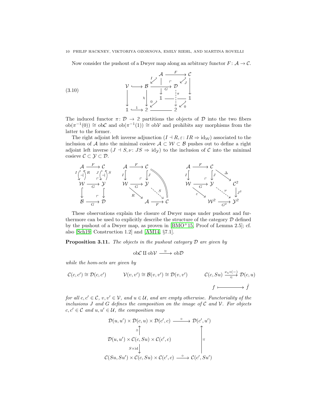#### 10 PHILIP HACKNEY, VIKTORIYA OZORNOVA, EMILY RIEHL, AND MARTINA ROVELLI

Now consider the pushout of a Dwyer map along an arbitrary functor  $F: A \rightarrow C$ .



The induced functor  $\pi: \mathcal{D} \to \mathcal{2}$  partitions the objects of  $\mathcal{D}$  into the two fibers  $ob(\pi^{-1}(0)) \cong ob\mathcal{C}$  and  $ob(\pi^{-1}(1)) \cong ob\mathcal{V}$  and prohibits any morphisms from the latter to the former.

The right adjoint left inverse adjunction  $(I \dashv R, \varepsilon: IR \Rightarrow id_{\mathcal{W}})$  associated to the inclusion of A into the minimal cosieve  $A \subset W \subset B$  pushes out to define a right adjoint left inverse  $(J \dashv S, \nu : JS \Rightarrow id_{\mathcal{Y}})$  to the inclusion of C into the minimal cosieve  $C \subset \mathcal{Y} \subset \mathcal{D}$ .



These observations explain the closure of Dwyer maps under pushout and furthermore can be used to explicitly describe the structure of the category  $\mathcal D$  defined by the pushout of a Dwyer map, as proven in  $[BMO^+15, P\text{roof of Lemma 2.5}];$  $[BMO^+15, P\text{roof of Lemma 2.5}];$  cf. also [\[Sch19,](#page-30-7) Construction 1.2] and [\[AM14,](#page-29-2) §7.1].

<span id="page-11-0"></span>**Proposition 3.11.** The objects in the pushout category  $D$  are given by

$$
\mathrm{ob}{\mathcal{C}} \amalg \mathrm{ob}{\mathcal{V}} \stackrel{\cong}{\xrightarrow{\hspace*{1cm}}} \mathrm{ob}{\mathcal{D}}
$$

while the hom-sets are given by

$$
\mathcal{C}(c, c') \cong \mathcal{D}(c, c') \qquad \mathcal{V}(v, v') \cong \mathcal{B}(v, v') \cong \mathcal{D}(v, v') \qquad \mathcal{C}(c, Su) \xrightarrow{\nu_u \circ (-)} \mathcal{D}(c, u)
$$
\n
$$
f \mapsto \qquad \qquad f \mapsto \hat{f}
$$

for all  $c, c' \in \mathcal{C}$ ,  $v, v' \in \mathcal{V}$ , and  $u \in \mathcal{U}$ , and are empty otherwise. Functoriality of the inclusions J and G defines the composition on the image of  $\mathcal C$  and  $\mathcal V$ . For objects  $c, c' \in \mathcal{C}$  and  $u, u' \in \mathcal{U}$ , the composition map

$$
\mathcal{D}(u, u') \times \mathcal{D}(c, u) \times \mathcal{D}(c', c) \xrightarrow{\circ} \mathcal{D}(c', u')
$$
\n
$$
\downarrow \mathbb{I} \qquad \qquad \downarrow \mathbb{I}
$$
\n
$$
\mathcal{D}(u, u') \times \mathcal{C}(c, Su) \times \mathcal{C}(c', c)
$$
\n
$$
\downarrow \qquad \qquad \downarrow \qquad \qquad \downarrow \qquad \qquad \downarrow \qquad \qquad \downarrow \qquad \qquad \downarrow \qquad \qquad \downarrow
$$
\n
$$
\mathcal{C}(Su, Su') \times \mathcal{C}(c, Su) \times \mathcal{C}(c', c) \xrightarrow{\circ} \mathcal{C}(c', Su')
$$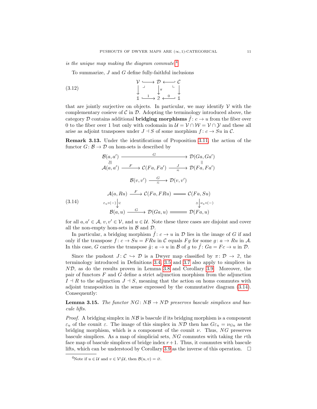is the unique map making the diagram commute. $4$ 

To summarize,  $J$  and  $G$  define fully-faithful inclusions

(3.12) 
$$
\begin{array}{ccc}\n\mathcal{V} & \longrightarrow & \mathcal{D} & \longleftarrow & \mathcal{C} \\
\downarrow & & \downarrow & & \downarrow \\
\mathbb{1} & \longrightarrow & \mathbb{2} & \longleftarrow & \mathbb{1}\n\end{array}
$$

that are jointly surjective on objects. In particular, we may identify  $\mathcal V$  with the complementary cosieve of  $\mathcal C$  in  $\mathcal D$ . Adopting the terminology introduced above, the category D contains additional **bridging morphisms**  $\hat{f}: c \to u$  from the fiber over 0 to the fiber over 1 but only with codomain in  $\mathcal{U} = \mathcal{V} \cap \mathcal{W} = \mathcal{V} \cap \mathcal{Y}$  and these all arise as adjoint transposes under  $J \dashv S$  of some morphism  $f: c \to Su$  in C.

<span id="page-12-2"></span>Remark 3.13. Under the identifications of Proposition [3.11,](#page-11-0) the action of the functor  $G: \mathcal{B} \to \mathcal{D}$  on hom-sets is described by

$$
\mathcal{B}(a, a') \xrightarrow{\qquad \qquad G \qquad \qquad} \mathcal{D}(Ga, Ga')
$$
\n
$$
\xrightarrow{\qquad \qquad \qquad \qquad \qquad \qquad \qquad \qquad \qquad \qquad \qquad \mathcal{D}(Ga, Ga')
$$
\n
$$
\mathcal{A}(a, a') \xrightarrow{\qquad F \qquad} \mathcal{C}(Fa, Fa') \xrightarrow{\qquad \qquad \qquad \qquad \qquad \qquad \qquad \qquad \qquad \qquad \qquad \mathcal{D}(Fa, Fa')
$$
\n
$$
\mathcal{B}(v, v') \xrightarrow{\qquad G \qquad} \mathcal{D}(v, v')
$$
\n
$$
\mathcal{A}(a, Ru) \xrightarrow{\qquad F \qquad} \mathcal{C}(Fa, FRu) \xrightarrow{\qquad \qquad \qquad \qquad \mathcal{C}(Fa, Su)}
$$
\n
$$
(3.14) \qquad \qquad \varepsilon_u \circ (-)\Big|_{\mathbb{R}}
$$

<span id="page-12-1"></span>
$$
\mathcal{B}(a, u) \xrightarrow{G} \mathcal{D}(Ga, u) \xrightarrow{d} \mathcal{D}(Fa, u)
$$

for all  $a, a' \in \mathcal{A}, v, v' \in \mathcal{V}$ , and  $u \in \mathcal{U}$ . Note these three cases are disjoint and cover all the non-empty hom-sets in  $\beta$  and  $\mathcal{D}$ .

In particular, a bridging morphism  $\hat{f}: c \to u$  in  $\mathcal D$  lies in the image of G if and only if the transpose  $f: c \to Su = FRu$  in C equals Fg for some  $g: a \to Ru$  in A. In this case, G carries the transpose  $\hat{g}$ :  $a \to u$  in B of g to  $\hat{f}$ :  $Ga = Fc \to u$  in D.

Since the pushout  $J: \mathcal{C} \hookrightarrow \mathcal{D}$  is a Dwyer map classified by  $\pi: \mathcal{D} \to \mathcal{2}$ , the terminology introduced in Definitions [3.4,](#page-9-0) [3.5](#page-9-1) and [3.7](#page-9-2) also apply to simplices in ND, as do the results proven in Lemma [3.8](#page-10-2) and Corollary [3.9.](#page-10-1) Moreover, the pair of functors F and G define a strict adjunction morphism from the adjunction  $I \dashv R$  to the adjunction  $J \dashv S$ , meaning that the action on homs commutes with adjoint transposition in the sense expressed by the commutative diagram [\(3.14\)](#page-12-1). Consequently:

<span id="page-12-3"></span>**Lemma 3.15.** The functor  $NG: NB \rightarrow ND$  preserves bascule simplices and bascule lifts.

*Proof.* A bridging simplex in  $N\mathcal{B}$  is bascule if its bridging morphism is a component  $\varepsilon_u$  of the counit  $\varepsilon$ . The image of this simplex in ND then has  $G\varepsilon_u = \nu_{Gu}$  as the bridging morphism, which is a component of the counit  $\nu$ . Thus, NG preserves bascule simplices. As a map of simplicial sets, NG commutes with taking the rth face map of bascule simplices of bridge index  $r+1$ . Thus, it commutes with bascule lifts, which can be understood by Corollary [3.9](#page-10-1) as the inverse of this operation.  $\Box$ 

<span id="page-12-0"></span><sup>&</sup>lt;sup>4</sup>Note if  $u \in \mathcal{U}$  and  $v \in \mathcal{V} \backslash \mathcal{U}$ , then  $\mathcal{B}(u, v) = \emptyset$ .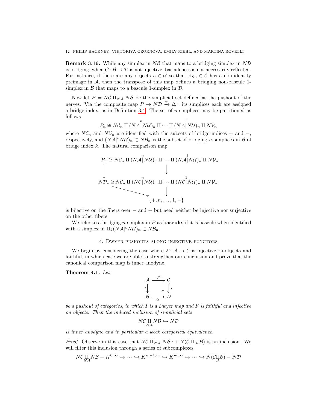**Remark 3.16.** While any simplex in  $N\mathcal{B}$  that maps to a bridging simplex in  $N\mathcal{D}$ is bridging, when  $G: \mathcal{B} \to \mathcal{D}$  is not injective, basculeness is not necessarily reflected. For instance, if there are any objects  $u \in \mathcal{U}$  so that  $\text{id}_{Su} \in \mathcal{C}$  has a non-identity preimage in A, then the transpose of this map defines a bridging non-bascule 1 simplex in  $\beta$  that maps to a bascule 1-simplex in  $\mathcal{D}$ .

Now let  $P = N\mathcal{C} \amalg_{N\mathcal{A}} N\mathcal{B}$  be the simplicial set defined as the pushout of the nerves. Via the composite map  $P \to N\mathcal{D} \stackrel{\pi}{\to} \Delta^1$ , its simplices each are assigned a bridge index, as in Definition [3.4.](#page-9-0) The set of n-simplices may be partitioned as follows

$$
P_n \cong N\mathcal{C}_n \amalg (N\mathcal{A} \vert N\mathcal{U})_n \amalg \cdots \amalg (N\mathcal{A} \vert N\mathcal{U})_n \amalg N\mathcal{V}_n
$$

where  $N\mathcal{C}_n$  and  $N\mathcal{V}_n$  are identified with the subsets of bridge indices + and -, respectively, and  $(N\mathcal{A}^k N\mathcal{U})_n \subset N\mathcal{B}_n$  is the subset of bridging *n*-simplices in  $\mathcal{B}$  of bridge index  $k$ . The natural comparison map



is bijective on the fibers over  $-$  and  $+$  but need neither be injective nor surjective on the other fibers.

We refer to a bridging *n*-simplex in  $P$  as **bascule**, if it is bascule when identified with a simplex in  $\amalg_k(N\mathcal{A}|^kN\mathcal{U})_n \subset N\mathcal{B}_n$ .

#### 4. Dwyer pushouts along injective functors

<span id="page-13-0"></span>We begin by considering the case where  $F: \mathcal{A} \to \mathcal{C}$  is injective-on-objects and faithful, in which case we are able to strengthen our conclusion and prove that the canonical comparison map is inner anodyne.

<span id="page-13-1"></span>Theorem 4.1. Let

$$
\begin{array}{ccc}\n\mathcal{A} & \xrightarrow{F} & \mathcal{C} \\
I \downarrow & & \downarrow \\
\mathcal{B} & \xrightarrow{\hspace{-.2em}\raisebox{0.3em}{$\hspace{-.1em}\raisebox{0.3em}{$\hspace{-.1em}\raisebox{0.3em}{$\hspace{-.1em}\raisebox{0.3em}{$\hspace{-.1em}\raisebox{0.3em}{$\hspace{-.1em}\raisebox{0.3em}{$\hspace{-.1em}\raisebox{0.3em}{$\hspace{-.1em}\raisebox{0.3em}{$\hspace{-.1em}\raisebox{0.3em}{$\hspace{-.1em}\raisebox{0.3em}{$\hspace{-.1em}\raisebox{0.3em}{$\hspace{-.1em}\raisebox{0.3em}{$\hspace{-.1em}\raisebox{0.3em}{$\hspace{-.1em}\raisebox{0.3em}{$\hspace{-.1em}\raisebox{0.3em}{$\hspace{-.1em}\raisebox{0.3em}{$\hspace{-.1em}\raisebox{0.3em}{$\hspace{-.1em}\raisebox{0.3em}{$\hspace{-.1em}\raisebox{0.3em}{$\hspace{-.1em}\raisebox{0.3em}{$\hspace{-.1em}\raisebox{0.3em}{$\hspace{-.1em}\raisebox{0.3em}{$\hspace{-.1em}\raisebox{0.3em}{$\hspace{-.1em}\raisebox{0.3em}{$\hspace{-.1em}\raisebox{0.3em}{$\hspace{-.1em}\raisebox{0.3em}{$\hspace{-.1em}\raisebox{0.3em}{$\hspace{-.1em}\raisebox{0.3em}{$\hspace{-.1em}\raisebox{0.3em}{$\hspace{-.1em}\raisebox{0.3em}{$\hspace{-.1em}\raisebox{0.3em}{$\hspace{-.1em}\raisebox{0.3em}{$\hspace{-.1em}\raisebox{0.3em}{$\hspace{-.1em}\raisebox{0.3em}{$\hspace{-.1em}\raisebox{0.3em}{$\hspace{-.1em}\raisebox{0.3em}{$\hspace{-.1em}\raisebox{0.3em}{$\hspace{-.1em}\raisebox{0.3em}{$\hspace{-.1em}\raisebox{0.3em}{$\hspace{-.1em}{$\hspace{-.1em}\raisebox{0.3em}{$\hspace{-.1em}{$\hspace{-.1em}\raisebox{0.3em}{$\hspace{-.1em}{$\hspace{-.1em}\raisebox{0.3em}{$\hspace{-.
$$

be a pushout of categories, in which  $I$  is a Dwyer map and  $F$  is faithful and injective on objects. Then the induced inclusion of simplicial sets

$$
N\mathcal{C}\underset{NA}{\amalg}N\mathcal{B}\hookrightarrow N\mathcal{D}
$$

is inner anodyne and in particular a weak categorical equivalence.

*Proof.* Observe in this case that  $N\mathcal{C} \amalg_{N\mathcal{A}} N\mathcal{B} \hookrightarrow N(\mathcal{C} \amalg_{\mathcal{A}} \mathcal{B})$  is an inclusion. We will filter this inclusion through a series of subcomplexes

$$
N\mathcal{C}\underset{NA}{\amalg} N\mathcal{B} = K^{0,\infty} \hookrightarrow \cdots \hookrightarrow K^{m-1,\infty} \hookrightarrow K^{m,\infty} \hookrightarrow \cdots \hookrightarrow N(\mathcal{C}\underset{\mathcal{A}}{\amalg} \mathcal{B}) = N\mathcal{D}
$$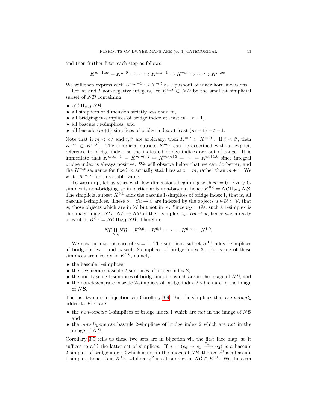and then further filter each step as follows

$$
K^{m-1,\infty} = K^{m,0} \hookrightarrow \cdots \hookrightarrow K^{m,t-1} \hookrightarrow K^{m,t} \hookrightarrow \cdots \hookrightarrow K^{m,\infty}.
$$

We will then express each  $K^{m,t-1} \hookrightarrow K^{m,t}$  as a pushout of inner horn inclusions.

For m and t non-negative integers, let  $K^{m,t} \subset N\mathcal{D}$  be the smallest simplicial subset of  $N\mathcal{D}$  containing:

- NC  $\mathbb{H}_{NA}$  NB,
- all simplices of dimension strictly less than  $m$ ,
- all bridging m-simplices of bridge index at least  $m t + 1$ ,
- all bascule *m*-simplices, and
- all bascule  $(m+1)$ -simplices of bridge index at least  $(m + 1) t + 1$ .

Note that if  $m < m'$  and  $t, t'$  are arbitrary, then  $K^{m,t} \subset K^{m',t'}$ . If  $t < t'$ , then  $K^{m,t} \subset K^{m,t'}$ . The simplicial subsets  $K^{m,0}$  can be described without explicit reference to bridge index, as the indicated bridge indices are out of range. It is immediate that  $K^{m,m+1} = K^{m,m+2} = K^{m,m+3} = \cdots = K^{m+1,0}$  since integral bridge index is always positive. We will observe below that we can do better, and the  $K^{m,t}$  sequence for fixed m actually stabilizes at  $t = m$ , rather than  $m + 1$ . We write  $K^{m,\infty}$  for this stable value.

To warm up, let us start with low dimensions beginning with  $m = 0$ . Every 0simplex is non-bridging, so in particular is non-bascule, hence  $K^{0,0} = N\mathcal{C} \amalg_{NA} N\mathcal{B}$ . The simplicial subset  $K^{0,1}$  adds the bascule 1-simplices of bridge index 1, that is, all bascule 1-simplices. These  $\nu_u: Su \to u$  are indexed by the objects  $u \in \mathcal{U} \subset \mathcal{V}$ , that is, those objects which are in W but not in A. Since  $\nu_G = G \varepsilon$ , such a 1-simplex is the image under  $NG: N\mathcal{B} \to N\mathcal{D}$  of the 1-simplex  $\varepsilon_u: Ru \to u$ , hence was already present in  $K^{0,0} = N\mathcal{C} \amalg_{N\mathcal{A}} N\mathcal{B}$ . Therefore

$$
NC\coprod_{N\mathcal{A}}N\mathcal{B}=K^{0,0}=K^{0,1}=\cdots=K^{0,\infty}=K^{1,0}.
$$

We now turn to the case of  $m = 1$ . The simplicial subset  $K^{1,1}$  adds 1-simplices of bridge index 1 and bascule 2-simplices of bridge index 2. But some of these simplices are already in  $K^{1,0}$ , namely

- the bascule 1-simplices,
- the degenerate bascule 2-simplices of bridge index 2,
- the non-bascule 1-simplices of bridge index 1 which are in the image of  $N\mathcal{B}$ , and
- the non-degenerate bascule 2-simplices of bridge index 2 which are in the image of NB.

The last two are in bijection via Corollary [3.9.](#page-10-1) But the simplices that are actually added to  $K^{1,1}$  are

- the non-bascule 1-simplices of bridge index 1 which are not in the image of  $N\mathcal{B}$ and
- the non-degenerate bascule 2-simplices of bridge index 2 which are not in the image of NB.

Corollary [3.9](#page-10-1) tells us these two sets are in bijection via the first face map, so it suffices to add the latter set of simplices. If  $\sigma = (c_0 \rightarrow c_1 \xrightarrow{\nu_{u_2}} u_2)$  is a bascule 2-simplex of bridge index 2 which is not in the image of  $N\mathcal{B}$ , then  $\sigma \cdot \delta^0$  is a bascule 1-simplex, hence is in  $K^{1,0}$ , while  $\sigma \cdot \delta^2$  is a 1-simplex in  $N\mathcal{C} \subset K^{1,0}$ . We thus can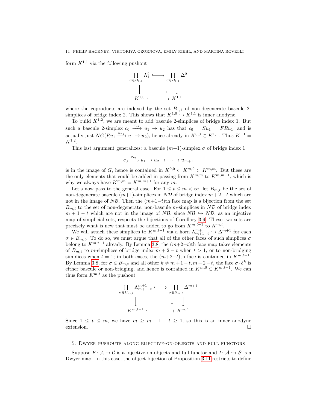form  $K^{1,1}$  via the following pushout



where the coproducts are indexed by the set  $B_{1,1}$  of non-degenerate bascule 2simplices of bridge index 2. This shows that  $K^{1,0} \hookrightarrow K^{1,1}$  is inner anodyne.

To build  $K^{1,2}$ , we are meant to add bascule 2-simplices of bridge index 1. But such a bascule 2-simplex  $c_0 \stackrel{\nu_{u_1}}{\longrightarrow} u_1 \rightarrow u_2$  has that  $c_0 = Su_1 = FRu_1$ , and is actually just  $NG(Ru_1 \xrightarrow{\varepsilon_{u_1}} u_1 \to u_2)$ , hence already in  $K^{0,0} \subset K^{1,1}$ . Thus  $K^{1,1} =$  $K^{1,2}.$ 

This last argument generalizes: a bascule  $(m+1)$ -simplex  $\sigma$  of bridge index 1

$$
c_0 \xrightarrow{\nu_{u_1}} u_1 \to u_2 \to \cdots \to u_{m+1}
$$

is in the image of G, hence is contained in  $K^{0,0} \subset K^{m,0} \subset K^{m,m}$ . But these are the only elements that could be added in passing from  $K^{m,m}$  to  $K^{m,m+1}$ , which is why we always have  $K^{m,m} = K^{m,m+1}$  for any m.

Let's now pass to the general case. For  $1 \le t \le m < \infty$ , let  $B_{m,t}$  be the set of non-degenerate bascule  $(m+1)$ -simplices in ND of bridge index  $m+2-t$  which are not in the image of NB. Then the  $(m+1-t)$ th face map is a bijection from the set  $B_{m,t}$  to the set of non-degenerate, non-bascule m-simplices in ND of bridge index  $m + 1 - t$  which are not in the image of  $N\mathcal{B}$ , since  $N\mathcal{B} \hookrightarrow N\mathcal{D}$ , as an injective map of simplicial sets, respects the bijections of Corollary [3.9.](#page-10-1) These two sets are precisely what is new that must be added to go from  $K^{m,t-1}$  to  $K^{m,t}$ .

We will attach these simplices to  $K^{m,t-1}$  via a horn  $\Lambda_{m+1-t}^{m+1} \hookrightarrow \Delta^{m+1}$  for each  $\sigma \in B_{m,t}$ . To do so, we must argue that all of the other faces of such simplices  $\sigma$ belong to  $K^{m,t-1}$  already. By Lemma [3.8,](#page-10-2) the  $(m+2-t)$ th face map takes elements of  $B_{m,t}$  to m-simplices of bridge index  $m+2-t$  when  $t>1$ , or to non-bridging simplices when  $t = 1$ ; in both cases, the  $(m+2-t)$ <sup>th</sup> face is contained in  $K^{m,t-1}$ . By Lemma [3.8,](#page-10-2) for  $\sigma \in B_{m,t}$  and all other  $k \neq m+1-t, m+2-t$ , the face  $\sigma \cdot \delta^k$  is either bascule or non-bridging, and hence is contained in  $K^{m,0} \subset K^{m,t-1}$ . We can thus form  $K^{m,t}$  as the pushout



Since  $1 \leq t \leq m$ , we have  $m \geq m + 1 - t \geq 1$ , so this is an inner anodyne extension.

#### <span id="page-15-0"></span>5. Dwyer pushouts along bijective-on-objects and full functors

Suppose  $F: \mathcal{A} \to \mathcal{C}$  is a bijective-on-objects and full functor and  $I: \mathcal{A} \hookrightarrow \mathcal{B}$  is a Dwyer map. In this case, the object bijection of Proposition [3.11](#page-11-0) restricts to define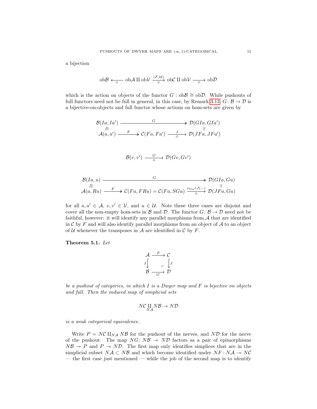a bijection

$$
\text{ob}\mathcal{B} \xleftarrow[\pi]{\pi} \text{ob}\mathcal{A} \amalg \text{ob}\mathcal{V} \xrightarrow[\pi]{(F,\text{id})} \text{ob}\mathcal{C} \amalg \text{ob}\mathcal{V} \xrightarrow[\pi]{\pi} \text{ob}\mathcal{D}
$$

which is the action on objects of the functor  $G : ob\mathcal{B} \cong ob\mathcal{D}$ . While pushouts of full functors need not be full in general, in this case, by Remark [3.13,](#page-12-2)  $G: \mathcal{B} \to \mathcal{D}$  is a bijective-on-objects and full functor whose actions on hom-sets are given by

$$
\mathcal{B}(Ia, Ia') \xrightarrow{\qquad \qquad G} \mathcal{D}(GIa, GIa') \xrightarrow{\qquad \qquad \qquad \mathcal{B}(GIa, GIa')
$$
\n
$$
\mathcal{A}(a, a') \xrightarrow{\qquad F} \mathcal{C}(Fa, Fa') \xrightarrow{\qquad J} \mathcal{D}(JFa, JFa')
$$

$$
\mathcal{B}(v, v') \xrightarrow{\qquad G \qquad} \mathcal{D}(Gv, Gv')
$$

$$
\mathcal{B}(Ia, u) \longrightarrow \mathcal{D}(GIa, Gu)
$$
  
\n
$$
\mathcal{A}(a, Ru) \longrightarrow^F \mathcal{C}(Fa, FRu) = \mathcal{C}(Fa, SGu) \xrightarrow{\nu_{Gu} \circ J(-)}^{\omega_{Guc} \circ J(-)}^{\omega_{Guc} \circ J(-)}^{\omega_{Guc} \circ J(-)}^{\omega_{Guc} \circ J(-)}^{\omega_{Guc} \circ J(-)}^{\omega_{Guc} \circ J(-)}^{\omega_{Guc} \circ J(-)}^{\omega_{Guc} \circ J(-)}^{\omega_{Guc} \circ J(-)}^{\omega_{Guc} \circ J(-)}^{\omega_{Guc} \circ J(-)}^{\omega_{Guc} \circ J(-)}^{\omega_{Guc} \circ J(-)}^{\omega_{Guc} \circ J(-)}^{\omega_{Guc} \circ J(-)}^{\omega_{Guc} \circ J(-)}^{\omega_{Guc} \circ J(-)}^{\omega_{Guc} \circ J(-)}^{\omega_{Guc} \circ J(-)}^{\omega_{Guc} \circ J(-)}^{\omega_{Guc} \circ J(-)}^{\omega_{Guc} \circ J(-)}^{\omega_{Guc} \circ J(-)}^{\omega_{Guc} \circ J(-)}^{\omega_{Guc} \circ J(-)}^{\omega_{Guc} \circ J(-)}^{\omega_{Guc} \circ J(-)}^{\omega_{Guc} \circ J(-)}^{\omega_{Guc} \circ J(-)}^{\omega_{Guc} \circ J(-)}^{\omega_{Guc} \circ J(-)}^{\omega_{Guc} \circ J(-)}^{\omega_{Guc} \circ J(-)}^{\omega_{Guc} \circ J(-)}^{\omega_{Guc} \circ J(-)}^{\omega_{Guc} \circ J(-)}^{\omega_{Guc} \circ J(-)}^{\omega_{Guc} \circ J(-)}^{\omega_{Guc} \circ J(-)}^{\omega_{Guc} \circ J(-)}^{\omega_{Guc} \circ J(-)}^{\omega_{Guc} \circ J(-)}^{\omega_{Guc} \circ J(-)}^{\omega_{Guc} \circ J(-)}^{\omega_{Guc} \circ J(-)}^{\omega_{Guc} \circ J(-)}^{\omega_{Guc} \circ J(-)}^{\omega_{Guc} \circ J(-)}^{\omega_{Guc} \circ J(-)}^{\omega_{Guc} \circ J(-)}^{\omega_{Guc} \circ J(-)}^{\omega_{Guc} \circ J(-)}^{\omega_{Guc} \circ J(-)}^{\omega_{Guc} \circ J(-)}^{\omega_{Guc} \circ J(-)}^{\omega_{Guc} \circ J(-)}^{\omega
$$

for all  $a, a' \in \mathcal{A}, v, v' \in \mathcal{V}$ , and  $u \in \mathcal{U}$ . Note these three cases are disjoint and cover all the non-empty hom-sets in B and D. The functor  $G: \mathcal{B} \to \mathcal{D}$  need not be faithful, however: it will identify any parallel morphisms from  $A$  that are identified in  $\mathcal C$  by  $F$  and will also identify parallel morphisms from an object of  $\mathcal A$  to an object of U whenever the transposes in A are identified in C by F.

<span id="page-16-0"></span>Theorem 5.1. Let

$$
\begin{array}{ccc}\n\mathcal{A} & \xrightarrow{F} & \mathcal{C} \\
I \downarrow & \searrow & \downarrow \\
\mathcal{B} & \xrightarrow{\subset} & \mathcal{D}\n\end{array}
$$

be a pushout of categories, in which  $I$  is a Dwyer map and  $F$  is bijective on objects and full. Then the induced map of simplicial sets

$$
N{\mathcal C} \underset{NA}{\amalg} N{\mathcal B} \to N{\mathcal D}
$$

is a weak categorical equivalence.

Write  $P = N\mathcal{C} \amalg_{N\mathcal{A}} N\mathcal{B}$  for the pushout of the nerves, and ND for the nerve of the pushout. The map  $NG: N\mathcal{B} \rightarrow N\mathcal{D}$  factors as a pair of epimorphisms  $N\mathcal{B} \rightarrow P$  and  $P \rightarrow N\mathcal{D}$ . The first map only identifies simplices that are in the simplicial subset  $N\mathcal{A} \subset N\mathcal{B}$  and which become identified under  $NF: N\mathcal{A} \rightarrow NC$ — the first case just mentioned — while the job of the second map is to identify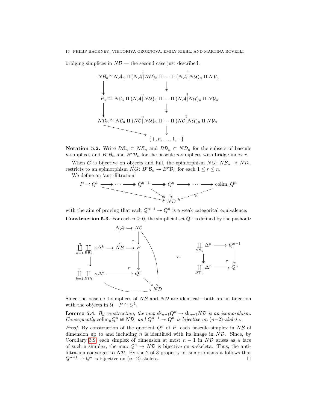bridging simplices in  $N\mathcal{B}$  — the second case just described.

$$
NB_n \cong NA_n \amalg (NA \parallel NU)_n \amalg \cdots \amalg (NA \parallel NU)_n \amalg NV_n
$$
\n
$$
\downarrow \qquad \qquad \downarrow
$$
\n
$$
P_n \cong NC_n \amalg (NA \parallel NU)_n \amalg \cdots \amalg (NA \parallel NU)_n \amalg NV_n
$$
\n
$$
\downarrow \qquad \qquad \downarrow
$$
\n
$$
ND_n \cong NC_n \amalg (NC \parallel NU)_n \amalg \cdots \amalg (NC \parallel NU)_n \amalg NV_n
$$
\n
$$
\downarrow
$$
\n
$$
\downarrow
$$
\n
$$
\downarrow
$$
\n
$$
\downarrow
$$
\n
$$
\downarrow
$$
\n
$$
\downarrow
$$
\n
$$
\downarrow
$$
\n
$$
\downarrow
$$
\n
$$
\downarrow
$$
\n
$$
\downarrow
$$
\n
$$
\downarrow
$$
\n
$$
\downarrow
$$
\n
$$
\downarrow
$$
\n
$$
\downarrow
$$
\n
$$
\downarrow
$$
\n
$$
\downarrow
$$
\n
$$
\downarrow
$$
\n
$$
\downarrow
$$
\n
$$
\downarrow
$$
\n
$$
\downarrow
$$
\n
$$
\downarrow
$$
\n
$$
\downarrow
$$
\n
$$
\downarrow
$$
\n
$$
\downarrow
$$
\n
$$
\downarrow
$$
\n
$$
\downarrow
$$
\n
$$
\downarrow
$$
\n
$$
\downarrow
$$
\n
$$
\downarrow
$$
\n
$$
\downarrow
$$
\n
$$
\downarrow
$$
\n
$$
\downarrow
$$
\n
$$
\downarrow
$$
\n
$$
\downarrow
$$
\n
$$
\downarrow
$$
\n
$$
\downarrow
$$
\n
$$
\downarrow
$$
\n
$$
\downarrow
$$
\n
$$
\downarrow
$$
\n
$$
\downarrow
$$
\n
$$
\downarrow
$$
\n
$$
\downarrow
$$
\n
$$
\downarrow
$$
\n
$$
\downarrow
$$
\n
$$
\downarrow
$$
\n
$$
\downarrow
$$
\n
$$
\downarrow
$$
\n
$$
\
$$

Notation 5.2. Write  $B\mathcal{B}_n$  ⊂  $N\mathcal{B}_n$  and  $B\mathcal{D}_n$  ⊂  $N\mathcal{D}_n$  for the subsets of bascule *n*-simplices and  $B^r \mathcal{B}_n$  and  $B^r \mathcal{D}_n$  for the bascule *n*-simplices with bridge index *r*.

When G is bijective on objects and full, the epimorphism  $NG: NB_n \rightarrow ND_n$ restricts to an epimorphism  $NG: B^r \mathcal{B}_n \to B^r \mathcal{D}_n$  for each  $1 \leq r \leq n$ .

We define an 'anti-filtration'



with the aim of proving that each  $Q^{n-1} \to Q^n$  is a weak categorical equivalence. **Construction 5.3.** For each  $n \geq 0$ , the simplicial set  $Q^n$  is defined by the pushout:



Since the bascule 1-simplices of  $N\mathcal{B}$  and  $N\mathcal{D}$  are identical—both are in bijection with the objects in  $\mathcal{U}\rightarrow P\cong Q^1$ .

**Lemma 5.4.** By construction, the map  $sk_{n-1}Q^n \to sk_{n-1}ND$  is an isomorphism. Consequently  $\text{colim}_nQ^n \cong N\mathcal{D}$ , and  $Q^{n-1} \twoheadrightarrow Q^n$  is bijective on  $(n-2)$ -skeleta.

*Proof.* By construction of the quotient  $Q^n$  of P, each bascule simplex in NB of dimension up to and including n is identified with its image in  $ND$ . Since, by Corollary [3.9,](#page-10-1) each simplex of dimension at most  $n - 1$  in ND arises as a face of such a simplex, the map  $Q^n \to N\mathcal{D}$  is bijective on *n*-skeleta. Thus, the antifiltration converges to  $N\mathcal{D}$ . By the 2-of-3 property of isomorphisms it follows that  $Q^{n-1} \to Q^n$  is bijective on  $(n-2)$ -skeleta.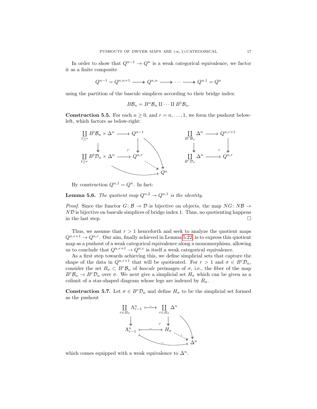In order to show that  $Q^{n-1} \to Q^n$  is a weak categorical equivalence, we factor it as a finite composite

$$
Q^{n-1}=Q^{n,n+1}\xrightarrow{q\qquadn,n}\xrightarrow{q\qquadn,n}\cdots\xrightarrow{q\qquadn,1}=Q^n
$$

using the partition of the bascule simplices according to their bridge index:

$$
B\mathcal{B}_n=B^n\mathcal{B}_n\amalg\cdots\amalg B^1\mathcal{B}_n.
$$

**Construction 5.5.** For each  $n \geq 0$ , and  $r = n, \ldots, 1$ , we form the pushout belowleft, which factors as below-right:



By construction  $Q^{n,1} = Q^n$ . In fact:

**Lemma 5.6.** The quotient map  $Q^{n,2} \rightarrow Q^{n,1}$  is the identity.

*Proof.* Since the functor  $G: \mathcal{B} \to \mathcal{D}$  is bijective on objects, the map  $NG: N\mathcal{B} \to$  $N\mathcal{D}$  is bijective on bascule simplices of bridge index 1. Thus, no quotienting happens in the last step.  $\Box$ 

Thus, we assume that  $r > 1$  henceforth and seek to analyze the quotient maps  $Q^{n,r+1} \to Q^{n,r}$ . Our aim, finally achieved in Lemma [5.22,](#page-26-0) is to express this quotient map as a pushout of a weak categorical equivalence along a monomorphism, allowing us to conclude that  $Q^{n,r+1} \to Q^{n,r}$  is itself a weak categorical equivalence.

As a first step towards achieving this, we define simplicial sets that capture the shape of the data in  $Q^{n,r+1}$  that will be quotiented. For  $r > 1$  and  $\sigma \in B^r \mathcal{D}_n$ , consider the set  $B_{\sigma} \subset B^r \mathcal{B}_n$  of bascule preimages of  $\sigma$ , i.e., the fiber of the map  $B^r \mathcal{B}_n \to B^r \mathcal{D}_n$  over  $\sigma$ . We next give a simplicial set  $H_{\sigma}$  which can be given as a colimit of a star-shaped diagram whose legs are indexed by  $B_{\sigma}$ .

**Construction 5.7.** Let  $\sigma \in B^r\mathcal{D}_n$  and define  $H_{\sigma}$  to be the simplicial set formed as the pushout



<span id="page-18-0"></span>which comes equipped with a weak equivalence to  $\Delta^n$ .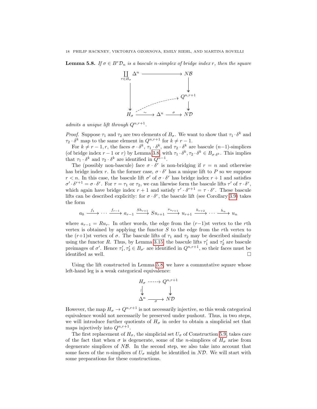**Lemma 5.8.** If  $\sigma \in B^r\mathcal{D}_n$  is a bascule n-simplex of bridge index r, then the square



admits a unique lift through  $Q^{n,r+1}$ .

*Proof.* Suppose  $\tau_1$  and  $\tau_2$  are two elements of  $B_{\sigma}$ . We want to show that  $\tau_1 \cdot \delta^k$  and  $\tau_2 \cdot \delta^k$  map to the same element in  $Q^{n,r+1}$  for  $k \neq r-1$ .

For  $k \neq r-1, r$ , the faces  $\sigma \cdot \delta^k$ ,  $\tau_1 \cdot \delta^k$ , and  $\tau_2 \cdot \delta^k$  are bascule  $(n-1)$ -simplices (of bridge index  $r-1$  or r) by Lemma [3.8,](#page-10-2) with  $\tau_1 \cdot \delta^k$ ,  $\tau_2 \cdot \delta^k \in B_{\sigma \cdot \delta^k}$ . This implies that  $\tau_1 \cdot \delta^k$  and  $\tau_2 \cdot \delta^k$  are identified in  $Q^{n-1}$ .

The (possibly non-bascule) face  $\sigma \cdot \delta^r$  is non-bridging if  $r = n$  and otherwise has bridge index r. In the former case,  $\sigma \cdot \delta^r$  has a unique lift to P so we suppose  $r < n$ . In this case, the bascule lift  $\sigma'$  of  $\sigma \cdot \delta^r$  has bridge index  $r + 1$  and satisfies  $\sigma' \cdot \delta^{r+1} = \sigma \cdot \delta^r$ . For  $\tau = \tau_1$  or  $\tau_2$ , we can likewise form the bascule lifts  $\tau'$  of  $\tau \cdot \delta^r$ , which again have bridge index  $r + 1$  and satisfy  $\tau' \cdot \delta^{r+1} = \tau \cdot \delta^r$ . These bascule lifts can be described explicitly: for  $\sigma \cdot \delta^r$ , the bascule lift (see Corollary [3.9\)](#page-10-1) takes the form

$$
a_0 \xrightarrow{f_1} \cdots \xrightarrow{f_{r-1}} a_{r-1} \xrightarrow{Sh_{r+1}} S u_{r+1} \xrightarrow{\nu_{u_{r+1}}} u_{r+1} \xrightarrow{h_{r+2}} \cdots \xrightarrow{h_n} u_n
$$

where  $a_{r-1} = Ru_r$ . In other words, the edge from the  $(r-1)$ st vertex to the rth vertex is obtained by applying the functor  $S$  to the edge from the rth vertex to the  $(r+1)$ st vertex of  $\sigma$ . The bascule lifts of  $\tau_1$  and  $\tau_2$  may be described similarly using the functor R. Thus, by Lemma [3.15,](#page-12-3) the bascule lifts  $\tau_1'$  and  $\tau_2'$  are bascule preimages of  $\sigma'$ . Hence  $\tau'_1, \tau'_2 \in B_{\sigma'}$  are identified in  $Q^{n,r+1}$ , so their faces must be identified as well.  $\Box$ 

Using the lift constructed in Lemma [5.8,](#page-18-0) we have a commutative square whose left-hand leg is a weak categorical equivalence:

$$
H_{\sigma} \xrightarrow{\text{-}\text{-}\text{-}\text{-}} Q^{n,r+1}
$$
  

$$
\downarrow^{\downarrow} \qquad \qquad \downarrow^{\downarrow}
$$
  

$$
\Delta^n \xrightarrow{\sigma} N\mathcal{D}
$$

However, the map  $H_{\sigma} \to Q^{n,r+1}$  is not necessarily injective, so this weak categorical equivalence would not necessarily be preserved under pushout. Thus, in two steps, we will introduce further quotients of  $H_{\sigma}$  in order to obtain a simplicial set that maps injectively into  $Q^{n,r+1}$ .

The first replacement of  $H_{\sigma}$ , the simplicial set  $U_{\sigma}$  of Construction [5.9,](#page-20-0) takes care of the fact that when  $\sigma$  is degenerate, some of the *n*-simplices of  $H_{\sigma}$  arise from degenerate simplices of  $N\mathcal{B}$ . In the second step, we also take into account that some faces of the *n*-simplices of  $U_{\sigma}$  might be identified in ND. We will start with some preparations for these constructions.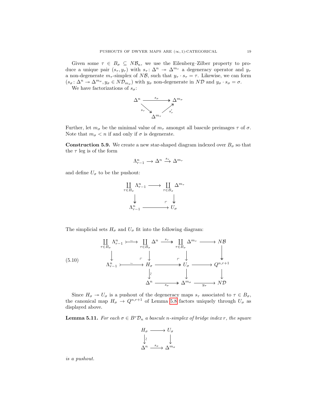Given some  $\tau \in B_{\sigma} \subseteq N\mathcal{B}_n$ , we use the Eilenberg–Zilber property to produce a unique pair  $(s_\tau, y_\tau)$  with  $s_\tau : \Delta^n \to \Delta^{m_\tau}$  a degeneracy operator and  $y_\tau$ a non-degenerate  $m_{\tau}$ -simplex of NB, such that  $y_{\tau} \cdot s_{\tau} = \tau$ . Likewise, we can form  $(s_{\sigma} : \Delta^n \to \Delta^{m_{\sigma}}, y_{\sigma} \in N\mathcal{D}_{m_{\sigma}})$  with  $y_{\sigma}$  non-degenerate in ND and  $y_{\sigma} \cdot s_{\sigma} = \sigma$ .

We have factorizations of  $s_{\sigma}$ :



Further, let  $m_{\sigma}$  be the minimal value of  $m_{\tau}$  amongst all bascule preimages  $\tau$  of  $\sigma$ . Note that  $m_{\sigma} < n$  if and only if  $\sigma$  is degenerate.

<span id="page-20-0"></span>**Construction 5.9.** We create a new star-shaped diagram indexed over  $B_{\sigma}$  so that the  $\tau$  leg is of the form

$$
\Lambda^n_{r-1} \longrightarrow \Delta^n \stackrel{s_{\tau}}{\longrightarrow} \Delta^{m_{\tau}}
$$

and define  $U_{\sigma}$  to be the pushout:

$$
\begin{array}{ccc}\n\coprod_{\tau \in B_{\sigma}} \Lambda_{r-1}^n \longrightarrow & \coprod_{\tau \in B_{\sigma}} \Delta^{m_{\tau}} \\
\downarrow & & \uparrow \downarrow \\
\Lambda_{r-1}^n \longrightarrow U_{\sigma}\n\end{array}
$$

The simplicial sets  $H_{\sigma}$  and  $U_{\sigma}$  fit into the following diagram:

<span id="page-20-1"></span>(5.10) ` τ∈B<sup>σ</sup> Λ n r−1 ` τ∈B<sup>σ</sup> ∆<sup>n</sup> ` τ∈B<sup>σ</sup> ∆m<sup>τ</sup> NB Λ n <sup>r</sup>−<sup>1</sup> H<sup>σ</sup> U<sup>σ</sup> Qn,r+1 ∆<sup>n</sup> ∆<sup>m</sup><sup>σ</sup> ND ∼ p sτ p ∼ ∼s<sup>σ</sup> y<sup>σ</sup>

Since  $H_{\sigma} \to U_{\sigma}$  is a pushout of the degeneracy maps  $s_{\tau}$  associated to  $\tau \in B_{\sigma}$ , the canonical map  $H_{\sigma} \to Q^{n,r+1}$  of Lemma [5.8](#page-18-0) factors uniquely through  $U_{\sigma}$  as displayed above.

<span id="page-20-2"></span>**Lemma 5.11.** For each  $\sigma \in B^r \mathcal{D}_n$  a bascule n-simplex of bridge index r, the square

$$
H_{\sigma} \longrightarrow U_{\sigma}
$$

$$
\downarrow \qquad \qquad \downarrow
$$

$$
\Delta^{n} \xrightarrow{s_{\sigma}} \Delta^{m_{\sigma}}
$$

is a pushout.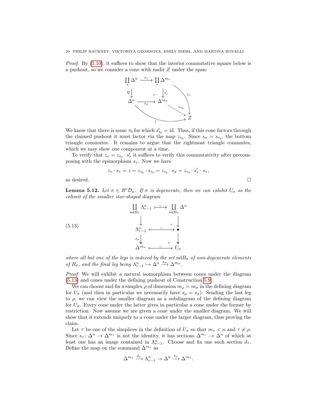Proof. By [\(5.10\)](#page-20-1), it suffices to show that the interior commutative square below is a pushout, so we consider a cone with nadir Z under the span:



We know that there is some  $\tau_0$  for which  $s'_{\tau_0} = id$ . Thus, if this cone factors through the claimed pushout it must factor via the map  $z_{\tau_0}$ . Since  $s_{\sigma} = s_{\tau_0}$ , the bottom triangle commutes. It remains to argue that the rightmost triangle commutes, which we may show one component at a time.

To verify that  $z_{\tau} = z_{\tau_0} \cdot s_{\tau}'$  it suffices to verify this commutativity after precomposing with the epimorphism  $s_{\tau}$ . Now we have

$$
z_\tau\cdot s_\tau=z=z_{\tau_0}\cdot s_{\tau_0}=z_{\tau_0}\cdot s_\sigma=z_{\tau_0}\cdot s'_\tau\cdot s_\tau,
$$
 as desired.  $\hfill \Box$ 

**Lemma 5.12.** Let  $\sigma \in B^r\mathcal{D}_n$ . If  $\sigma$  is degenerate, then we can exhibit  $U_{\sigma}$  as the colimit of the smaller star-shaped diagram

<span id="page-21-0"></span>(5.13)  

$$
\begin{array}{ccc}\n\prod_{\text{nd}B_{\sigma}} \Lambda_{r-1}^n & \longrightarrow & \prod_{\text{nd}B_{\sigma}} \Delta^n \\
\downarrow & & \downarrow \\
\Lambda_{r-1}^n & \longrightarrow & \longrightarrow & \longrightarrow \\
\downarrow^{n} & & \longrightarrow & \longrightarrow \\
\downarrow^{s_{\sigma}} & & \downarrow & \longmapsto \\
\Delta^{m_{\sigma}} & \longrightarrow & \longrightarrow & U_{\sigma}\n\end{array}
$$

where all but one of the legs is indexed by the set  $ndB_{\sigma}$  of non-degenerate elements of  $B_{\sigma}$ , and the final leg being  $\Lambda_{r-1}^n \hookrightarrow \Delta^{n} \xrightarrow{s_{\sigma}} \Delta^{m_{\sigma}}$ .

Proof. We will exhibit a natural isomorphism between cones under the diagram [\(5.13\)](#page-21-0) and cones under the defining pushout of Construction [5.9.](#page-20-0)

We can choose and fix a simplex  $\rho$  of dimension  $m_{\rho} = m_{\sigma}$  in the defining diagram for  $U_{\sigma}$  (and then in particular we necessarily have  $s_{\rho} = s_{\sigma}$ ). Sending the last leg to  $\rho$ , we can view the smaller diagram as a subdiagram of the defining diagram for  $U_{\sigma}$ . Every cone under the latter gives in particular a cone under the former by restriction. Now assume we are given a cone under the smaller diagram. We will show that it extends uniquely to a cone under the larger diagram, thus proving the claim.

Let  $\tau$  be one of the simplices in the definition of  $U_{\sigma}$  so that  $m_{\tau} < n$  and  $\tau \neq \rho$ . Since  $s_{\tau} \colon \Delta^n \to \Delta^{m_{\tau}}$  is not the identity, it has sections  $\Delta^{m_{\tau}} \to \Delta^n$  of which at least one has an image contained in  $\Lambda_{r-1}^n$ . Choose and fix one such section  $d_{\tau}$ . Define the map on the summand  $\Delta^{m_{\tau}}$  as

$$
\Delta^{m_{\tau}} \xrightarrow{d_{\tau}} \Lambda_{r-1}^{n} \to \Delta^{n} \xrightarrow{s_{\rho}} \Delta^{m_{\sigma}}.
$$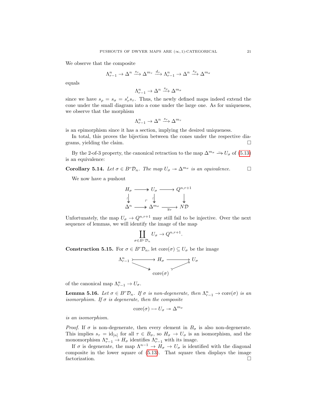We observe that the composite

$$
\Lambda^n_{r-1}\to\Delta^n\xrightarrow{s_\tau}\Delta^{m_\tau}\xrightarrow{d_\tau}\Lambda^n_{r-1}\to\Delta^n\xrightarrow{s_\rho}\Delta^{m_\sigma}
$$

equals

$$
\Lambda^n_{r-1}\to\Delta^n\xrightarrow{s_\rho}\Delta^{m_\sigma}
$$

since we have  $s_{\rho} = s_{\sigma} = s_{\tau}' s_{\tau}$ . Thus, the newly defined maps indeed extend the cone under the small diagram into a cone under the large one. As for uniqueness, we observe that the morphism

$$
\Lambda^n_{r-1} \to \Delta^n \xrightarrow{s_\tau} \Delta^{m_\tau}
$$

is an epimorphism since it has a section, implying the desired uniqueness.

In total, this proves the bijection between the cones under the respective diagrams, yielding the claim.  $\Box$ 

By the 2-of-3 property, the canonical retraction to the map  $\Delta^{m_{\sigma}} \longrightarrow U_{\sigma}$  of [\(5.13\)](#page-21-0) is an equivalence:

**Corollary 5.14.** Let  $\sigma \in B^r \mathcal{D}_n$ . The map  $U_{\sigma} \to \Delta^{m_{\sigma}}$  is an equivalence.

We now have a pushout

$$
H_{\sigma} \longrightarrow U_{\sigma} \longrightarrow Q^{n,r+1}
$$
  
\n
$$
\downarrow \qquad \qquad \downarrow \qquad \qquad \downarrow
$$
  
\n
$$
\Delta^{n} \longrightarrow \Delta^{m_{\sigma}} \longrightarrow \Delta^{m_{\sigma}}
$$

Unfortunately, the map  $U_{\sigma} \to Q^{n,r+1}$  may still fail to be injective. Over the next sequence of lemmas, we will identify the image of the map

$$
\coprod_{\sigma \in B^r \mathcal{D}_n} U_{\sigma} \to Q^{n,r+1}.
$$

**Construction 5.15.** For  $\sigma \in B^r\mathcal{D}_n$ , let  $\text{core}(\sigma) \subseteq U_{\sigma}$  be the image

$$
\begin{array}{c}\n\Lambda_{r-1}^n & \longrightarrow H_{\sigma} \longrightarrow U_{\sigma} \\
\downarrow^{\infty} & \downarrow^{\infty} \\
\downarrow^{\infty} & \downarrow^{\infty}\n\end{array}
$$

of the canonical map  $\Lambda_{r-1}^n \to U_{\sigma}$ .

**Lemma 5.16.** Let  $\sigma \in B^r\mathcal{D}_n$ . If  $\sigma$  is non-degenerate, then  $\Lambda_{r-1}^n \to \text{core}(\sigma)$  is an isomorphism. If  $\sigma$  is degenerate, then the composite

$$
\mathrm{core}(\sigma) \rightarrowtail U_{\sigma} \twoheadrightarrow \Delta^{m_{\sigma}}
$$

is an isomorphism.

*Proof.* If  $\sigma$  is non-degenerate, then every element in  $B_{\sigma}$  is also non-degenerate. This implies  $s_{\tau} = id_{[n]}$  for all  $\tau \in B_{\sigma}$ , so  $H_{\sigma} \to U_{\sigma}$  is an isomorphism, and the monomorphism  $\Lambda_{r-1}^n \to H_\sigma$  identifies  $\Lambda_{r-1}^n$  with its image.

If  $\sigma$  is degenerate, the map  $\Lambda^{n-1} \to H_{\sigma} \to U_{\sigma}$  is identified with the diagonal composite in the lower square of [\(5.13\)](#page-21-0). That square then displays the image factorization.  $\square$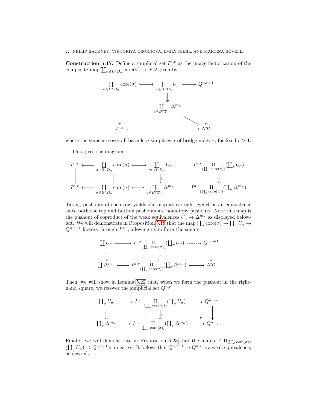**Construction 5.17.** Define a simplicial set  $I^{n,r}$  as the image factorization of the composite map  $\coprod_{\sigma \in B^r \mathcal{D}_n} \text{core}(\sigma) \to N\mathcal{D}$  given by



where the sums are over all bascule *n*-simplices  $\sigma$  of bridge index r, for fixed  $r > 1$ .

This gives the diagram

$$
I^{n,r} \longleftarrow \coprod_{\sigma \in B^r \mathcal{D}_n} \text{core}(\sigma) \longleftarrow \bigcup_{\sigma \in B^r \mathcal{D}_n} U_{\sigma} \qquad I^{n,r} \coprod_{(\coprod_{\sigma} \text{core}(\sigma))} (\coprod_{\sigma} U_{\sigma})
$$
  

$$
\parallel \qquad \qquad \downarrow \qquad \qquad \downarrow
$$
  

$$
I^{n,r} \longleftarrow \coprod_{\sigma \in B^r \mathcal{D}_n} \text{core}(\sigma) \longleftarrow \bigcup_{\sigma \in B^r \mathcal{D}_n} \Delta^{m_{\sigma}} \qquad I^{n,r} \coprod_{(\coprod_{\sigma} \text{core}(\sigma))} (\coprod_{\sigma} \Delta^{m_{\sigma}})
$$

Taking pushouts of each row yields the map above-right, which is an equivalence since both the top and bottom pushouts are homotopy pushouts. Note this map is the pushout of coproduct of the weak equivalences  $U_{\sigma} \to \Delta^{m_{\sigma}}$  as displayed below-left. We will demonstrate in Proposition [5.18](#page-23-0) that the map  $\prod_{\sigma}$  core $(\sigma) \to \prod_{\sigma} U_{\sigma} \to$  $Q^{n,r+1}$  factors through  $I^{n,r}$ , allowing us to form the square

$$
\begin{array}{ccc}\n\coprod U_{\sigma} & \xrightarrow{\qquad} I^{n,r} \coprod_{\sigma \text{ core}(\sigma)} (\coprod_{\sigma} U_{\sigma}) \longrightarrow Q^{n,r+1} \\
\downarrow & & \downarrow \\
\downarrow & & \downarrow \\
\coprod \Delta^{m_{\sigma}} & \xrightarrow{\qquad} I^{n,r} \coprod_{(\coprod_{\sigma} \text{ core}(\sigma))} (\coprod_{\sigma} \Delta^{m_{\sigma}}) \longrightarrow N\mathcal{D}\n\end{array}
$$

Then, we will show in Lemma [5.22](#page-26-0) that, when we form the pushout in the righthand square, we recover the simplicial set  $Q^{n,r}$ .

$$
\begin{array}{ccc}\n\coprod_{\sigma} U_{\sigma} & \longrightarrow I^{n,r} \coprod_{\sigma \text{ core}(\sigma)} (\coprod_{\sigma} U_{\sigma}) \longrightarrow Q^{n,r+1} \\
\downarrow & & \downarrow \\
\coprod_{\sigma} \Delta^{m_{\sigma}} & \longrightarrow I^{n,r} \coprod_{\sigma \text{ core}(\sigma)} (\coprod_{\sigma} \Delta^{m_{\sigma}}) \longrightarrow Q^{n,r}.\n\end{array}
$$

<span id="page-23-0"></span>Finally, we will demonstrate in Proposition [5.23](#page-27-0) that the map  $I^{n,r} \amalg_{(\coprod_{\sigma} \text{core}(\sigma))}$  $(\coprod_{\sigma} U_{\sigma}) \to Q^{n,r+1}$  is injective. It follows that  $Q^{n,r+1} \to Q^{n,r}$  is a weak equivalence, as desired.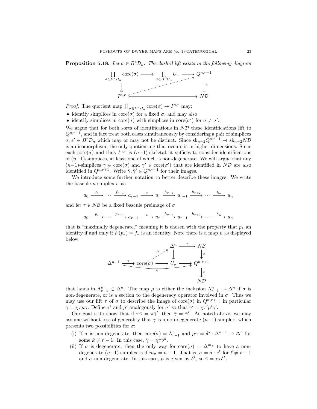**Proposition 5.18.** Let  $\sigma \in B^r\mathcal{D}_n$ . The dashed lift exists in the following diagram



*Proof.* The quotient map  $\prod_{\sigma \in B^r \mathcal{D}_n} \text{core}(\sigma) \to I^{n,r}$  may:

- identify simplices in  $\text{core}(\sigma)$  for a fixed  $\sigma$ , and may also
- identify simplices in core( $\sigma$ ) with simplices in core( $\sigma'$ ) for  $\sigma \neq \sigma'$ .

We argue that for both sorts of identifications in  $ND$  these identifications lift to  $Q^{n,r+1}$ , and in fact treat both cases simultaneously by considering a pair of simplices  $\sigma, \sigma' \in B^r\mathcal{D}_n$  which may or may not be distinct. Since  $\mathrm{sk}_{n-2}Q^{n,r+1} \to \mathrm{sk}_{n-2}ND$ is an isomorphism, the only quotienting that occurs is in higher dimensions. Since each core( $\sigma$ ) and thus  $I^{n,r}$  is  $(n-1)$ -skeletal, it suffices to consider identifications of  $(n-1)$ -simplices, at least one of which is non-degenerate. We will argue that any  $(n-1)$ -simplices  $\gamma \in \text{core}(\sigma)$  and  $\gamma' \in \text{core}(\sigma')$  that are identified in ND are also identified in  $Q^{n,r+1}$ . Write  $\bar{\gamma}, \bar{\gamma}' \in Q^{n,r+1}$  for their images.

We introduce some further notation to better describe these images. We write the bascule *n*-simplex  $\sigma$  as

$$
a_0 \xrightarrow{f_1} \cdots \xrightarrow{f_{r-1}} a_{r-1} \xrightarrow{\varepsilon} u_r \xrightarrow{h_{r+1}} u_{r+1} \xrightarrow{h_{r+2}} \cdots \xrightarrow{h_n} u_n
$$

and let  $\tau \in N\mathcal{B}$  be a fixed bascule preimage of  $\sigma$ 

$$
a_0 \xrightarrow{p_1} \cdots \xrightarrow{p_{r-1}} a_{r-1} \xrightarrow{\varepsilon} u_r \xrightarrow{h_{r+1}} u_{r+1} \xrightarrow{h_{r+2}} \cdots \xrightarrow{h_n} u_n
$$

that is "maximally degenerate," meaning it is chosen with the property that  $p_k$  and identity if and only if  $F(p_k) = f_k$  is an identity. Note there is a map  $\mu$  as displayed below

$$
\Delta^{n-1} \xrightarrow{\gamma} \text{core}(\sigma) \xrightarrow{\mu \to \gamma} U_{\sigma} \xrightarrow{\gamma} Q^{n,r+1} \downarrow
$$
\n
$$
\Delta^{n-1} \xrightarrow{\gamma} \text{core}(\sigma) \xrightarrow{\gamma} U_{\sigma} \xrightarrow{\gamma} Q^{n,r+1} \downarrow
$$
\n
$$
\downarrow \pi
$$
\n
$$
N\mathcal{D}
$$

that lands in  $\Lambda_{r-1}^n \subset \Delta^n$ . The map  $\mu$  is either the inclusion  $\Lambda_{r-1}^n \to \Delta^n$  if  $\sigma$  is non-degenerate, or is a section to the degeneracy operator involved in  $\sigma$ . Thus we may use our lift  $\tau$  of  $\sigma$  to describe the image of core $(\sigma)$  in  $Q^{n,r+1}$ : in particular  $\bar{\gamma} = \chi \tau \mu \gamma$ . Define  $\tau'$  and  $\mu'$  analogously for  $\sigma'$  so that  $\bar{\gamma}' = \chi \tau' \mu' \gamma'$ .

Our goal is to show that if  $\pi \bar{\gamma} = \pi \bar{\gamma}'$ , then  $\bar{\gamma} = \bar{\gamma}'$ . As noted above, we may assume without loss of generality that  $\gamma$  is a non-degenerate  $(n-1)$ -simplex, which presents two possibilities for  $\sigma$ :

- <span id="page-24-0"></span>(i) If  $\sigma$  is non-degenerate, then  $\text{core}(\sigma) = \Lambda_{r-1}^n$  and  $\mu \gamma = \delta^k : \Delta^{n-1} \to \Delta^n$  for some  $k \neq r - 1$ . In this case,  $\bar{\gamma} = \chi \tau \delta^k$ .
- <span id="page-24-1"></span>(ii) If  $\sigma$  is degenerate, then the only way for core $(\sigma) = \Delta^{m_{\sigma}}$  to have a nondegenerate  $(n-1)$ -simplex is if  $m_{\sigma} = n - 1$ . That is,  $\sigma = \tilde{\sigma} \cdot s^{\ell}$  for  $\ell \neq r - 1$ and  $\tilde{\sigma}$  non-degenerate. In this case,  $\mu$  is given by  $\delta^{\ell}$ , so  $\bar{\gamma} = \chi \tau \delta^{\ell}$ .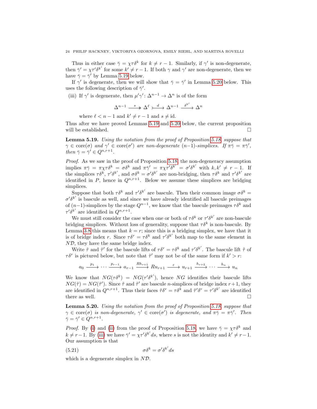#### 24 PHILIP HACKNEY, VIKTORIYA OZORNOVA, EMILY RIEHL, AND MARTINA ROVELLI

Thus in either case  $\bar{\gamma} = \chi \tau \delta^k$  for  $k \neq r - 1$ . Similarly, if  $\gamma'$  is non-degenerate, then  $\bar{\gamma}' = \chi \tau' \delta^{k'}$  for some  $k' \neq r - 1$ . If both  $\gamma$  and  $\gamma'$  are non-degenerate, then we have  $\bar{\gamma} = \bar{\gamma}'$  by Lemma [5.19](#page-25-0) below.

If  $\gamma'$  is degenerate, then we will show that  $\bar{\gamma} = \bar{\gamma}'$  in Lemma [5.20](#page-25-1) below. This uses the following description of  $\bar{\gamma}'$ .

<span id="page-25-2"></span>(iii) If  $\gamma'$  is degenerate, then  $\mu' \gamma' : \Delta^{n-1} \to \Delta^n$  is of the form

$$
\Delta^{n-1} \stackrel{s}\longrightarrow \Delta^\ell \rightarrowtail^d \Delta^{n-1} \stackrel{\delta^{k'}}\longrightarrow \Delta^n
$$

where  $\ell < n - 1$  and  $k' \neq r - 1$  and  $s \neq id$ .

Thus after we have proved Lemmas [5.19](#page-25-0) and [5.20](#page-25-1) below, the current proposition will be established.  $\hfill \square$ 

<span id="page-25-0"></span>Lemma 5.19. Using the notation from the proof of Proposition [5.18,](#page-23-0) suppose that  $\gamma \in \text{core}(\sigma)$  and  $\gamma' \in \text{core}(\sigma')$  are non-degenerate  $(n-1)$ -simplices. If  $\pi \bar{\gamma} = \pi \bar{\gamma}'$ , then  $\bar{\gamma} = \bar{\gamma}' \in Q^{n,r+1}$ .

Proof. As we saw in the proof of Proposition [5.18,](#page-23-0) the non-degeneracy assumption implies  $\pi \bar{\gamma} = \pi \chi \tau \delta^k = \sigma \delta^k$  and  $\pi \bar{\gamma}' = \pi \chi \tau' \delta^{k'} = \sigma' \delta^{k'}$  with  $k, k' \neq r - 1$ . If the simplices  $\tau \delta^k$ ,  $\tau' \delta^{k'}$ , and  $\sigma \delta^k = \sigma' \delta^{k'}$  are non-bridging, then  $\tau \delta^k$  and  $\tau' \delta^{k'}$  are identified in  $P$ , hence in  $Q^{n,r+1}$ . Below we assume these simplices are bridging simplices.

Suppose that both  $\tau \delta^k$  and  $\tau' \delta^{k'}$  are bascule. Then their common image  $\sigma \delta^k =$  $\sigma' \delta^{k'}$  is bascule as well, and since we have already identified all bascule preimages of  $(n-1)$ -simplices by the stage  $Q^{n-1}$ , we know that the bascule preimages  $\tau \delta^k$  and  $\tau' \delta^{k'}$  are identified in  $Q^{n,r+1}$ .

We must still consider the case when one or both of  $\tau \delta^k$  or  $\tau' \delta^{k'}$  are non-bascule bridging simplices. Without loss of generality, suppose that  $\tau \delta^k$  is non-bascule. By Lemma [3.8](#page-10-2) this means that  $k = r$ ; since this is a bridging simplex, we have that it is of bridge index r. Since  $\tau \delta^r = \tau \delta^k$  and  $\tau' \delta^{k'}$  both map to the same element in  $N\mathcal{D}$ , they have the same bridge index.

Write  $\tilde{\tau}$  and  $\tilde{\tau}'$  for the bascule lifts of  $\tau \delta^r = \tau \delta^k$  and  $\tau' \delta^{k'}$ . The bascule lift  $\tilde{\tau}$  of  $\tau \delta^r$  is pictured below, but note that  $\tilde{\tau}'$  may not be of the same form if  $k' > r$ :

 $a_0 \xrightarrow{p_1} \cdots \xrightarrow{p_{r-1}} a_{r-1} \xrightarrow{Rh_{r+1}} Ru_{r+1} \xrightarrow{\varepsilon} u_{r+1} \xrightarrow{h_{r+2}} \cdots \xrightarrow{h_n} u_n$ 

We know that  $NG(\tau \delta^k) = NG(\tau' \delta^{k'})$ , hence NG identifies their bascule lifts  $NG(\tilde{\tau}) = NG(\tilde{\tau}')$ . Since  $\tilde{\tau}$  and  $\tilde{\tau}'$  are bascule *n*-simplices of bridge index  $r+1$ , they are identified in  $Q^{n,r+1}$ . Thus their faces  $\tilde{\tau}\delta^r = \tau \delta^k$  and  $\tilde{\tau}'\delta^r = \tau' \delta^{k'}$  are identified there as well.  $\square$ 

<span id="page-25-1"></span>Lemma 5.20. Using the notation from the proof of Proposition [5.18,](#page-23-0) suppose that  $\gamma \in \text{core}(\sigma)$  is non-degenerate,  $\gamma' \in \text{core}(\sigma')$  is degenerate, and  $\pi \bar{\gamma} = \pi \bar{\gamma}'$ . Then  $\bar{\gamma} = \bar{\gamma}' \in Q^{n,r+1}.$ 

*Proof.* By [\(i\)](#page-24-0) and [\(ii\)](#page-24-1) from the proof of Proposition [5.18,](#page-23-0) we have  $\bar{\gamma} = \chi \tau \delta^k$  and  $k \neq r-1$ . By [\(iii\)](#page-25-2) we have  $\bar{\gamma}' = \chi \tau' \delta^{k'} ds$ , where s is not the identity and  $k' \neq r-1$ . Our assumption is that

<span id="page-25-3"></span>(5.21) 
$$
\sigma \delta^k = \sigma' \delta^{k'} ds
$$

which is a degenerate simplex in  $N\mathcal{D}$ .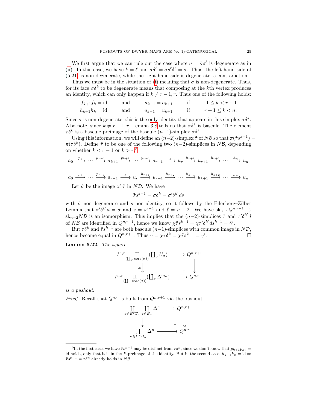We first argue that we can rule out the case where  $\sigma = \tilde{\sigma} s^{\ell}$  is degenerate as in [\(ii\)](#page-24-1). In this case, we have  $k = \ell$  and  $\sigma \delta^{\ell} = \tilde{\sigma} s^{\ell} \delta^{\ell} = \tilde{\sigma}$ . Thus, the left-hand side of [\(5.21\)](#page-25-3) is non-degenerate, while the right-hand side is degenerate, a contradiction.

Thus we must be in the situation of [\(i\)](#page-24-0) meaning that  $\sigma$  is non-degenerate. Thus, for its face  $\sigma \delta^k$  to be degenerate means that composing at the k<sup>th</sup> vertex produces an identity, which can only happen if  $k \neq r - 1, r$ . Thus one of the following holds:

$$
f_{k+1}f_k = id
$$
 and 
$$
a_{k-1} = a_{k+1}
$$
 if  $1 \le k < r-1$   
\n
$$
h_{k+1}h_k = id
$$
 and 
$$
u_{k-1} = u_{k+1}
$$
 if  $r+1 \le k < n$ .

Since  $\sigma$  is non-degenerate, this is the only identity that appears in this simplex  $\sigma \delta^k$ . Also note, since  $k \neq r-1, r$ , Lemma [3.8](#page-10-2) tells us that  $\sigma \delta^k$  is bascule. The element  $\tau \delta^k$  is a bascule preimage of the bascule  $(n-1)$ -simplex  $\sigma \delta^k$ .

Using this information, we will define an  $(n-2)$ -simplex  $\tilde{\tau}$  of NB so that  $\pi(\tilde{\tau}s^{k-1}) =$  $\pi(\tau \delta^k)$ . Define  $\tilde{\tau}$  to be one of the following two  $(n-2)$ -simplices in NB, depending on whether  $k < r - 1$  or  $k > r:5$  $k > r:5$ 

$$
a_0 \xrightarrow{p_1} \cdots \xrightarrow{p_{k-1}} a_{k+1} \xrightarrow{p_{k+2}} \cdots \xrightarrow{p_{r-1}} a_{r-1} \xrightarrow{\varepsilon} u_r \xrightarrow{h_{r+1}} u_{r+1} \xrightarrow{h_{r+2}} \cdots \xrightarrow{h_n} u_n
$$
  

$$
a_0 \xrightarrow{p_1} \cdots \xrightarrow{p_{r-1}} a_{r-1} \xrightarrow{\varepsilon} u_r \xrightarrow{h_{r+1}} u_{r+1} \xrightarrow{h_{r+2}} \cdots \xrightarrow{h_{k-1}} u_{k+1} \xrightarrow{h_{k+2}} \cdots \xrightarrow{h_n} u_n
$$

Let  $\tilde{\sigma}$  be the image of  $\tilde{\tau}$  in ND. We have

$$
\tilde{\sigma}s^{k-1} = \sigma\delta^k = \sigma'\delta^{k'}ds
$$

with  $\tilde{\sigma}$  non-degenerate and s non-identity, so it follows by the Eilenberg–Zilber Lemma that  $\sigma' \delta^{k'} d = \tilde{\sigma}$  and  $s = s^{k-1}$  and  $\ell = n-2$ . We have  $\mathrm{sk}_{n-2}Q^{n,r+1} \to$  $sk_{n-2}ND$  is an isomorphism. This implies that the  $(n-2)$ -simplices  $\tilde{\tau}$  and  $\tau'\delta^{k'}d$ of NB are identified in  $Q^{n,r+1}$ , hence we know  $\chi \tilde{\tau} s^{k-1} = \chi \tau' \delta^{k'} ds^{k-1} = \bar{\gamma}'$ .

But  $\tau \delta^k$  and  $\tilde{\tau} s^{k-1}$  are both bascule  $(n-1)$ -simplices with common image in ND, hence become equal in  $Q^{n,r+1}$ . Thus  $\bar{\gamma} = \chi \tau \delta^k = \chi \tilde{\tau} s^{k-1} = \bar{\gamma}'$ .

<span id="page-26-0"></span>Lemma 5.22. The square

$$
I^{n,r} \underset{\text{(II}_{\sigma} \text{ core}(\sigma))}{\text{II}} \underset{\text{(II}_{\sigma} \text{ core}(\sigma))}{\text{II}} \underset{\text{(II}_{\sigma} \Delta^{m_{\sigma}})}{\text{I}} \longrightarrow Q^{n,r+1}
$$

is a pushout.

*Proof.* Recall that  $Q^{n,r}$  is built from  $Q^{n,r+1}$  via the pushout



<span id="page-26-1"></span><sup>&</sup>lt;sup>5</sup>In the first case, we have  $\tilde{\tau}s^{k-1}$  may be distinct from  $\tau\delta^k$ , since we don't know that  $p_{k+1}p_{k_1} =$ id holds, only that it is in the F-preimage of the identity. But in the second case,  $h_{k+1}h_k = id$  so  $\tilde{\tau}s^{k-1} = \tau\delta^k$  already holds in NB.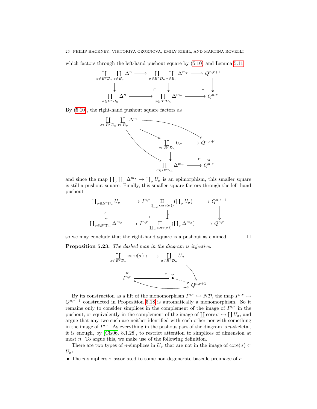which factors through the left-hand pushout square by [\(5.10\)](#page-20-1) and Lemma [5.11](#page-20-2)



By [\(5.10\)](#page-20-1), the right-hand pushout square factors as



and since the map  $\prod_{\sigma}\prod_{\tau}\Delta^{m_{\tau}} \to \prod_{\sigma}U_{\sigma}$  is an epimorphism, this smaller square is still a pushout square. Finally, this smaller square factors through the left-hand pushout

$$
\begin{array}{ccc}\n\coprod_{\sigma \in B^{r} \mathcal{D}_{n}} U_{\sigma} \longrightarrow I^{n,r} \coprod_{(\coprod_{\sigma} \text{core}(\sigma))} (\coprod_{\sigma} U_{\sigma}) \longrightarrow Q^{n,r+1} \\
\downarrow^{\downarrow} & \downarrow^{\downarrow} \\
\coprod_{\sigma \in B^{r} \mathcal{D}_{n}} \Delta^{m_{\sigma}} \longrightarrow I^{n,r} \coprod_{(\coprod_{\sigma} \text{core}(\sigma))} (\coprod_{\sigma} \Delta^{m_{\sigma}}) \longrightarrow Q^{n,r}\n\end{array}
$$

<span id="page-27-0"></span>so we may conclude that the right-hand square is a pushout as claimed.  $\square$ Proposition 5.23. The dashed map in the diagram is injective:



By its construction as a lift of the monomorphism  $I^{n,r} \rightarrow N\mathcal{D}$ , the map  $I^{n,r} \rightarrow$  $Q^{n,r+1}$  constructed in Proposition [5.18](#page-23-0) is automatically a monomorphism. So it remains only to consider simplices in the complement of the image of  $I^{n,r}$  in the pushout, or equivalently in the complement of the image of  $\coprod$  core  $\sigma \rightarrowtail \coprod U_{\sigma}$ , and argue that any two such are neither identified with each other nor with something in the image of  $I^{n,r}$ . As everything in the pushout part of the diagram is n-skeletal, it is enough, by [\[Cis06,](#page-30-11) 8.1.28], to restrict attention to simplices of dimension at most *n*. To argue this, we make use of the following definition.

There are two types of n-simplices in  $U_{\sigma}$  that are not in the image of core $(\sigma) \subset$  $U_{\sigma}$ :

• The *n*-simplices  $\tau$  associated to some non-degenerate bascule preimage of  $\sigma$ .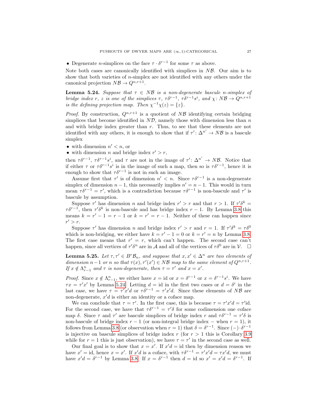• Degenerate *n*-simplices on the face  $\tau \cdot \delta^{r-1}$  for some  $\tau$  as above.

Note both cases are canonically identified with simplices in  $N\mathcal{B}$ . Our aim is to show that both varieties of n-simplex are not identified with any others under the canonical projection  $N\mathcal{B} \to Q^{n,r+1}$ .

<span id="page-28-0"></span>**Lemma 5.24.** Suppose that  $\tau \in NB$  is a non-degenerate bascule n-simplex of bridge index r, z is one of the simplices  $\tau$ ,  $\tau \delta^{r-1}$ ,  $\tau \delta^{r-1} s^i$ , and  $\chi: N\mathcal{B} \to Q^{n,r+1}$ is the defining projection map. Then  $\chi^{-1}\chi(z) = \{z\}.$ 

*Proof.* By construction,  $Q^{n,r+1}$  is a quotient of NB identifying certain bridging simplices that become identified in  $N\mathcal{D}$ , namely those with dimension less than  $n$ and with bridge index greater than r. Thus, to see that these elements are not identified with any others, it is enough to show that if  $\tau' : \Delta^{n'} \to N\mathcal{B}$  is a bascule simplex

- with dimension  $n' < n$ , or
- with dimension *n* and bridge index  $r' > r$ ,

then  $\tau \delta^{r-1}$ ,  $\tau \delta^{r-1} s^i$ , and  $\tau$  are not in the image of  $\tau' : \Delta^{n'} \to N\mathcal{B}$ . Notice that if either  $\tau$  or  $\tau \delta^{r-1} s^i$  is in the image of such a map, then so is  $\tau \delta^{r-1}$ , hence it is enough to show that  $\tau \delta^{r-1}$  is not in such an image.

Assume first that  $\tau'$  is of dimension  $n' < n$ . Since  $\tau \delta^{r-1}$  is a non-degenerate simplex of dimension  $n-1$ , this necessarily implies  $n' = n-1$ . This would in turn mean  $\tau \delta^{r-1} = \tau'$ , which is a contradiction because  $\tau \delta^{r-1}$  is non-bascule and  $\tau'$  is bascule by assumption.

Suppose  $\tau'$  has dimension n and bridge index  $r' > r$  and that  $r > 1$ . If  $\tau' \delta^k =$  $\tau \delta^{r-1}$ , then  $\tau' \delta^k$  is non-bascule and has bridge index  $r-1$ . By Lemma [3.8](#page-10-2) this means  $k = r' - 1 = r - 1$  or  $k = r' = r - 1$ . Neither of these can happen since  $r' > r$ .

Suppose  $\tau'$  has dimension n and bridge index  $r' > r$  and  $r = 1$ . If  $\tau' \delta^k = \tau \delta^0$ which is non-bridging, we either have  $k = r' - 1 = 0$  or  $k = r' = n$  by Lemma [3.8.](#page-10-2) The first case means that  $r' = r$ , which can't happen. The second case can't happen, since all vertices of  $\tau' \delta^n$  are in A and all of the vertices of  $\tau \delta^0$  are in  $\mathcal{V}$ .  $\Box$ 

<span id="page-28-1"></span>**Lemma 5.25.** Let  $\tau, \tau' \in B^r \mathcal{B}_n$ , and suppose that  $x, x' \in \Delta^n$  are two elements of dimension  $n-1$  or n so that  $\tau(x), \tau'(x') \in N\mathcal{B}$  map to the same element of  $Q^{n,r+1}$ . If  $x \notin \Lambda_{r-1}^n$  and  $\tau$  is non-degenerate, then  $\tau = \tau'$  and  $x = x'$ .

*Proof.* Since  $x \notin \Lambda_{r-1}^n$ , we either have  $x = id$  or  $x = \delta^{r-1}$  or  $x = \delta^{r-1} s^i$ . We have  $\tau x = \tau' x'$  by Lemma [5.24.](#page-28-0) Letting  $d = id$  in the first two cases or  $d = \delta^i$  in the last case, we have  $\tau = \tau' x' d$  or  $\tau \delta^{r-1} = \tau' x' d$ . Since these elements of NB are non-degenerate,  $x'd$  is either an identity or a coface map.

We can conclude that  $\tau = \tau'$ . In the first case, this is because  $\tau = \tau' x' d = \tau' id$ . For the second case, we have that  $\tau \delta^{r-1} = \tau' \delta$  for some codimension one coface map  $\delta$ . Since  $\tau$  and  $\tau'$  are bascule simplices of bridge index r and  $\tau \delta^{r-1} = \tau' \delta$  is non-bascule of bridge index  $r - 1$  (or non-integral bridge index – when  $r = 1$ ), it follows from Lemma [3.8](#page-10-2) (or observation when  $r = 1$ ) that  $\delta = \delta^{r-1}$ . Since  $(-) \cdot \delta^{r-1}$ is injective on bascule simplices of bridge index  $r$  (for  $r > 1$  this is Corollary [3.9](#page-10-1) while for  $r = 1$  this is just observation), we have  $\tau = \tau'$  in the second case as well.

Our final goal is to show that  $x = x'$ . If  $x'd = id$  then by dimension reason we have  $x' = id$ , hence  $x = x'$ . If  $x'd$  is a coface, with  $\tau \delta^{r-1} = \tau' x'd = \tau x'd$ , we must have  $x'd = \delta^{r-1}$  by Lemma [3.8.](#page-10-2) If  $x = \delta^{r-1}$  then  $d = id$  so  $x' = x'd = \delta^{r-1}$ . If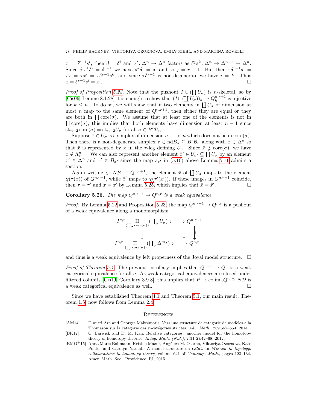$x = \delta^{r-1}s^i$ , then  $d = \delta^i$  and  $x' : \Delta^n \to \Delta^n$  factors as  $\delta^j s^k : \Delta^n \to \Delta^{n-1} \to \Delta^n$ . Since  $\delta^j s^k \delta^i = \delta^{r-1}$  we have  $s^k \delta^i = id$  and so  $j = r - 1$ . But then  $\tau \delta^{r-1} s^i =$  $\tau x = \tau x' = \tau \delta^{r-1} s^k$ , and since  $\tau \delta^{r-1}$  is non-degenerate we have  $i = k$ . Thus  $x = \delta^{r-1} s^i = x'$ .

*Proof of Proposition [5.23.](#page-27-0)* Note that the pushout  $I \cup (\coprod U_{\sigma})$  is *n*-skeletal, so by [\[Cis06,](#page-30-11) Lemme 8.1.28] it is enough to show that  $(I \cup (\coprod U_{\sigma}))_k \to Q_k^{n,r+1}$  is injective for  $k \leq n$ . To do so, we will show that if two elements in  $\prod U_{\sigma}$  of dimension at most n map to the same element of  $Q^{n,r+1}$ , then either they are equal or they are both in  $\prod \text{core}(\sigma)$ . We assume that at least one of the elements is not in  $\prod \text{core}(\sigma)$ ; this implies that both elements have dimension at least  $n - 1$  since  $sk_{n-2} \text{core}(\sigma) = sk_{n-2}U_{\sigma}$  for all  $\sigma \in B^r \mathcal{D}_n$ .

Suppose  $\bar{x} \in U_{\sigma}$  is a simplex of dimension  $n-1$  or n which does not lie in core $(\sigma)$ . Then there is a non-degenerate simplex  $\tau \in \text{nd}B_{\sigma} \subseteq B^r \mathcal{B}_n$  along with  $x \in \Delta^n$  so that  $\bar{x}$  is represented by x in the  $\tau$ -leg defining  $U_{\sigma}$ . Since  $\bar{x} \notin \text{core}(\sigma)$ , we have  $x \notin \Lambda_{r-1}^n$ . We can also represent another element  $\bar{x}' \in U_{\sigma'} \subseteq \coprod U_{\sigma}$  by an element  $x' \in \Delta^n$  and  $\tau' \in B_{\sigma'}$  since the map  $s_{\tau'}$  in [\(5.10\)](#page-20-1) above Lemma [5.11](#page-20-2) admits a section.

Again writing  $\chi: N\mathcal{B} \to Q^{n,r+1}$ , the element  $\bar{x}$  of  $\prod U_{\sigma}$  maps to the element  $\chi(\tau(x))$  of  $Q^{n,r+1}$ , while  $\bar{x}'$  maps to  $\chi(\tau'(x'))$ . If these images in  $Q^{n,r+1}$  coincide, then  $\tau = \tau'$  and  $x = x'$  by Lemma [5.25,](#page-28-1) which implies that  $\bar{x} = \bar{x}'$  $\Box$ 

### **Corollary 5.26.** The map  $Q^{n,r+1} \to Q^{n,r}$  is a weak equivalence.

*Proof.* By Lemma [5.22](#page-26-0) and Proposition [5.23,](#page-27-0) the map  $Q^{n,r+1} \to Q^{n,r}$  is a pushout of a weak equivalence along a monomorphism

$$
I^{n,r} \underset{\text{(II}_{\sigma} \text{ core}(\sigma))}{\text{II}} \underset{\text{(II}_{\sigma} \text{ core}(\sigma))}{\text{III}} \underset{\text{(II}_{\sigma} \Delta^{m_{\sigma}}) \longrightarrow Q^{n,r+1}}{\longrightarrow} Q^{n,r+1}
$$

and thus is a weak equivalence by left properness of the Joyal model structure.  $\square$ 

*Proof of Theorem [5.1.](#page-16-0)* The previous corollary implies that  $Q^{n-1} \to Q^n$  is a weak categorical equivalence for all  $n$ . As weak categorical equivalences are closed under filtered colimits [\[Cis19,](#page-30-12) Corollary 3.9.8], this implies that  $P \to \text{colim}_n Q^n \cong N\mathcal{D}$  is a weak categorical equivalence as well.

Since we have established Theorem [4.1](#page-13-1) and Theorem [5.1,](#page-16-0) our main result, Theorem [1.5,](#page-4-4) now follows from Lemma [2.4.](#page-7-2)

#### **REFERENCES**

- <span id="page-29-2"></span>[AM14] Dimitri Ara and Georges Maltsiniotis. Vers une structure de catégorie de modèles à la Thomason sur la catégorie des n-catégories strictes. Adv. Math., 259:557–654, 2014.
- <span id="page-29-0"></span>[BK12] C. Barwick and D. M. Kan. Relative categories: another model for the homotopy theory of homotopy theories. Indag. Math.  $(N.S.), 23(1-2):42-68, 2012.$
- <span id="page-29-1"></span>[BMO<sup>+</sup>15] Anna Marie Bohmann, Kristen Mazur, Angélica M. Osorno, Viktoriya Ozornova, Kate Ponto, and Carolyn Yarnall. A model structure on GCat. In Women in topology: collaborations in homotopy theory, volume 641 of Contemp. Math., pages 123–134. Amer. Math. Soc., Providence, RI, 2015.